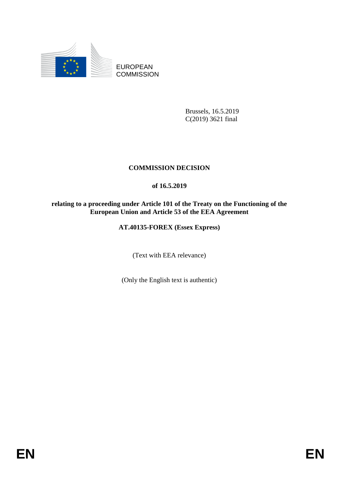

EUROPEAN **COMMISSION** 

> Brussels, 16.5.2019 C(2019) 3621 final

# **COMMISSION DECISION**

## **of 16.5.2019**

### **relating to a proceeding under Article 101 of the Treaty on the Functioning of the European Union and Article 53 of the EEA Agreement**

## **AT.40135-FOREX (Essex Express)**

(Text with EEA relevance)

(Only the English text is authentic)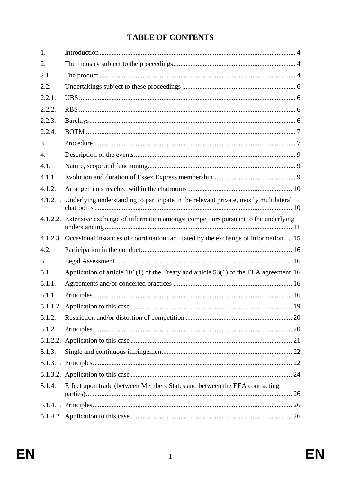# **TABLE OF CONTENTS**

| 1.               |                                                                                               |
|------------------|-----------------------------------------------------------------------------------------------|
| 2.               |                                                                                               |
| 2.1.             |                                                                                               |
| 2.2.             |                                                                                               |
| 2.2.1.           |                                                                                               |
| 2.2.2.           |                                                                                               |
| 2.2.3.           |                                                                                               |
| 2.2.4.           |                                                                                               |
| 3.               |                                                                                               |
| $\overline{4}$ . |                                                                                               |
| 4.1.             |                                                                                               |
| 4.1.1.           |                                                                                               |
| 4.1.2.           |                                                                                               |
|                  | 4.1.2.1. Underlying understanding to participate in the relevant private, mostly multilateral |
|                  | 4.1.2.2. Extensive exchange of information amongst competitors pursuant to the underlying     |
|                  | 4.1.2.3. Occasional instances of coordination facilitated by the exchange of information 15   |
| 4.2.             |                                                                                               |
| 5.               |                                                                                               |
| 5.1.             | Application of article $101(1)$ of the Treaty and article 53(1) of the EEA agreement 16       |
| 5.1.1.           |                                                                                               |
|                  |                                                                                               |
|                  |                                                                                               |
| 5.1.2.           |                                                                                               |
|                  |                                                                                               |
|                  |                                                                                               |
| 5.1.3.           |                                                                                               |
|                  |                                                                                               |
|                  |                                                                                               |
| 5.1.4.           | Effect upon trade (between Members States and between the EEA contracting                     |
|                  |                                                                                               |
|                  |                                                                                               |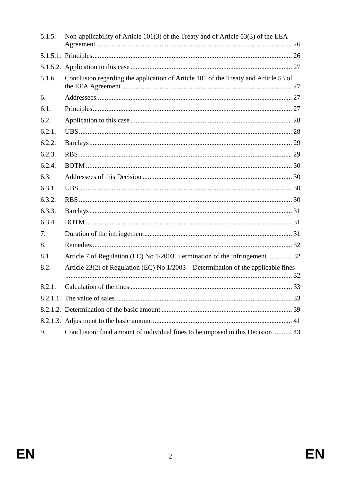| 5.1.5. | Non-applicability of Article 101(3) of the Treaty and of Article 53(3) of the EEA    |
|--------|--------------------------------------------------------------------------------------|
|        |                                                                                      |
|        |                                                                                      |
| 5.1.6. | Conclusion regarding the application of Article 101 of the Treaty and Article 53 of  |
| 6.     |                                                                                      |
| 6.1.   |                                                                                      |
| 6.2.   |                                                                                      |
| 6.2.1. |                                                                                      |
| 6.2.2. |                                                                                      |
| 6.2.3. |                                                                                      |
| 6.2.4. |                                                                                      |
| 6.3.   |                                                                                      |
| 6.3.1. |                                                                                      |
| 6.3.2. |                                                                                      |
| 6.3.3. |                                                                                      |
| 6.3.4. |                                                                                      |
| 7.     |                                                                                      |
| 8.     |                                                                                      |
| 8.1.   | Article 7 of Regulation (EC) No 1/2003. Termination of the infringement  32          |
| 8.2.   | Article 23(2) of Regulation (EC) No $1/2003$ – Determination of the applicable fines |
| 8.2.1. |                                                                                      |
|        |                                                                                      |
|        |                                                                                      |
|        |                                                                                      |
| 9.     | Conclusion: final amount of individual fines to be imposed in this Decision  43      |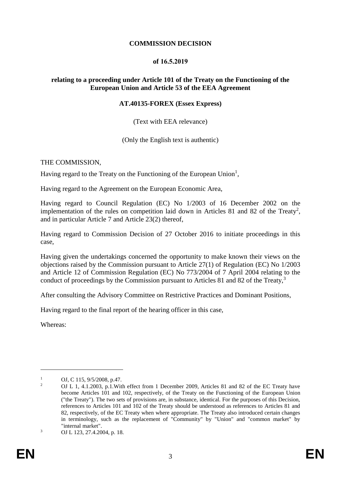#### **COMMISSION DECISION**

#### **of 16.5.2019**

### **relating to a proceeding under Article 101 of the Treaty on the Functioning of the European Union and Article 53 of the EEA Agreement**

#### **AT.40135-FOREX (Essex Express)**

#### (Text with EEA relevance)

(Only the English text is authentic)

#### THE COMMISSION,

Having regard to the Treaty on the Functioning of the European Union<sup>1</sup>,

Having regard to the Agreement on the European Economic Area,

Having regard to Council Regulation (EC) No 1/2003 of 16 December 2002 on the implementation of the rules on competition laid down in Articles 81 and 82 of the Treaty<sup>2</sup>, and in particular Article 7 and Article 23(2) thereof,

Having regard to Commission Decision of 27 October 2016 to initiate proceedings in this case,

Having given the undertakings concerned the opportunity to make known their views on the objections raised by the Commission pursuant to Article 27(1) of Regulation (EC) No 1/2003 and Article 12 of Commission Regulation (EC) No 773/2004 of 7 April 2004 relating to the conduct of proceedings by the Commission pursuant to Articles 81 and 82 of the Treaty.<sup>3</sup>

After consulting the Advisory Committee on Restrictive Practices and Dominant Positions,

Having regard to the final report of the hearing officer in this case,

Whereas:

<sup>&</sup>lt;sup>1</sup> OJ, C 115, 9/5/2008, p.47.

<sup>2</sup> OJ L 1, 4.1.2003, p.1.With effect from 1 December 2009, Articles 81 and 82 of the EC Treaty have become Articles 101 and 102, respectively, of the Treaty on the Functioning of the European Union ("the Treaty"). The two sets of provisions are, in substance, identical. For the purposes of this Decision, references to Articles 101 and 102 of the Treaty should be understood as references to Articles 81 and 82, respectively, of the EC Treaty when where appropriate. The Treaty also introduced certain changes in terminology, such as the replacement of "Community" by "Union" and "common market" by "internal market".

<sup>3</sup> OJ L 123, 27.4.2004, p. 18.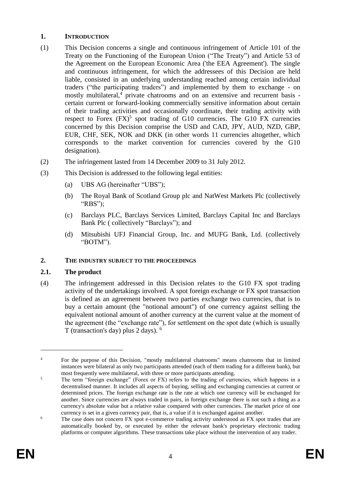### **1. INTRODUCTION**

- (1) This Decision concerns a single and continuous infringement of Article 101 of the Treaty on the Functioning of the European Union ("The Treaty") and Article 53 of the Agreement on the European Economic Area ('the EEA Agreement'). The single and continuous infringement, for which the addressees of this Decision are held liable, consisted in an underlying understanding reached among certain individual traders ("the participating traders") and implemented by them to exchange - on mostly multilateral,<sup>4</sup> private chatrooms and on an extensive and recurrent basis certain current or forward-looking commercially sensitive information about certain of their trading activities and occasionally coordinate, their trading activity with respect to Forex  $(FX)^5$  spot trading of G10 currencies. The G10 FX currencies concerned by this Decision comprise the USD and CAD, JPY, AUD, NZD, GBP, EUR, CHF, SEK, NOK and DKK (in other words 11 currencies altogether, which corresponds to the market convention for currencies covered by the G10 designation).
- (2) The infringement lasted from 14 December 2009 to 31 July 2012.
- (3) This Decision is addressed to the following legal entities:
	- (a) UBS AG (hereinafter "UBS");
	- (b) The Royal Bank of Scotland Group plc and NatWest Markets Plc (collectively "RBS");
	- (c) Barclays PLC, Barclays Services Limited, Barclays Capital Inc and Barclays Bank Plc ( collectively "Barclays"); and
	- (d) Mitsubishi UFJ Financial Group, Inc. and MUFG Bank, Ltd. (collectively "BOTM").

## **2. THE INDUSTRY SUBJECT TO THE PROCEEDINGS**

## **2.1. The product**

<span id="page-4-0"></span>(4) The infringement addressed in this Decision relates to the G10 FX spot trading activity of the undertakings involved. A spot foreign exchange or FX spot transaction is defined as an agreement between two parties exchange two currencies, that is to buy a certain amount (the "notional amount") of one currency against selling the equivalent notional amount of another currency at the current value at the moment of the agreement (the "exchange rate"), for settlement on the spot date (which is usually T (transaction's day) plus 2 days). <sup>6</sup>

<sup>&</sup>lt;sup>4</sup> For the purpose of this Decision, "mostly multilateral chatrooms" means chatrooms that in limited instances were bilateral as only two participants attended (each of them trading for a different bank), but most frequently were multilateral, with three or more participants attending.

<sup>&</sup>lt;sup>5</sup> The term "foreign exchange" (Forex or FX) refers to the trading of currencies, which happens in a decentralised manner. It includes all aspects of buying, selling and exchanging currencies at current or determined prices. The foreign exchange rate is the rate at which one currency will be exchanged for another. Since currencies are always traded in pairs, in foreign exchange there is not such a thing as a currency's absolute value but a relative value compared with other currencies. The market price of one currency is set in a given currency pair, that is, a value if it is exchanged against another.

<sup>&</sup>lt;sup>6</sup> The case does not concern FX spot e-commerce trading activity understood as FX spot trades that are automatically booked by, or executed by either the relevant bank's proprietary electronic trading platforms or computer algorithms. These transactions take place without the intervention of any trader.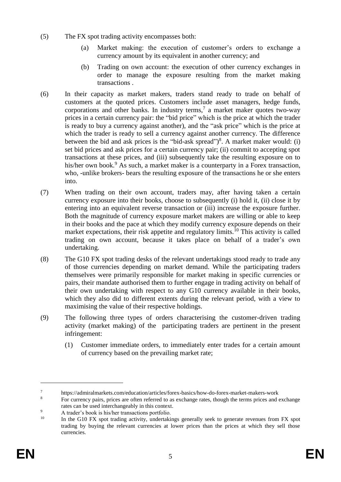- <span id="page-5-0"></span>(5) The FX spot trading activity encompasses both:
	- (a) Market making: the execution of customer's orders to exchange a currency amount by its equivalent in another currency; and
	- (b) Trading on own account: the execution of other currency exchanges in order to manage the exposure resulting from the market making transactions .
- (6) In their capacity as market makers, traders stand ready to trade on behalf of customers at the quoted prices. Customers include asset managers, hedge funds, corporations and other banks. In industry terms,<sup>7</sup> a market maker quotes two-way prices in a certain currency pair: the "bid price" which is the price at which the trader is ready to buy a currency against another), and the "ask price" which is the price at which the trader is ready to sell a currency against another currency. The difference between the bid and ask prices is the "bid-ask spread")<sup>8</sup>. A market maker would: (i) set bid prices and ask prices for a certain currency pair; (ii) commit to accepting spot transactions at these prices, and (iii) subsequently take the resulting exposure on to his/her own book.<sup>9</sup> As such, a market maker is a counterparty in a Forex transaction, who, -unlike brokers- bears the resulting exposure of the transactions he or she enters into.
- <span id="page-5-1"></span>(7) When trading on their own account, traders may, after having taken a certain currency exposure into their books, choose to subsequently (i) hold it, (ii) close it by entering into an equivalent reverse transaction or (iii) increase the exposure further. Both the magnitude of currency exposure market makers are willing or able to keep in their books and the pace at which they modify currency exposure depends on their market expectations, their risk appetite and regulatory limits.<sup>10</sup> This activity is called trading on own account, because it takes place on behalf of a trader's own undertaking.
- (8) The G10 FX spot trading desks of the relevant undertakings stood ready to trade any of those currencies depending on market demand. While the participating traders themselves were primarily responsible for market making in specific currencies or pairs, their mandate authorised them to further engage in trading activity on behalf of their own undertaking with respect to any G10 currency available in their books, which they also did to different extents during the relevant period, with a view to maximising the value of their respective holdings.
- (9) The following three types of orders characterising the customer-driven trading activity (market making) of the participating traders are pertinent in the present infringement:
	- (1) Customer immediate orders, to immediately enter trades for a certain amount of currency based on the prevailing market rate;

<sup>7</sup> https://admiralmarkets.com/education/articles/forex-basics/how-do-forex-market-makers-work

For currency pairs, prices are often referred to as exchange rates, though the terms prices and exchange rates can be used interchangeably in this context.

 $^{9}$  A trader's book is his/her transactions portfolio.<br><sup>10</sup> In the G10 EX spot trading activity, undertaki

<sup>10</sup> In the G10 FX spot trading activity, undertakings generally seek to generate revenues from FX spot trading by buying the relevant currencies at lower prices than the prices at which they sell those currencies.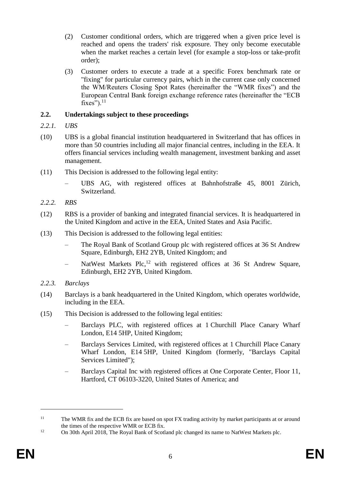- (2) Customer conditional orders, which are triggered when a given price level is reached and opens the traders' risk exposure. They only become executable when the market reaches a certain level (for example a stop-loss or take-profit order);
- (3) Customer orders to execute a trade at a specific Forex benchmark rate or "fixing" for particular currency pairs, which in the current case only concerned the WM/Reuters Closing Spot Rates (hereinafter the "WMR fixes") and the European Central Bank foreign exchange reference rates (hereinafter the "ECB fixes"). $^{11}$

## **2.2. Undertakings subject to these proceedings**

- *2.2.1. UBS*
- (10) UBS is a global financial institution headquartered in Switzerland that has offices in more than 50 countries including all major financial centres, including in the EEA. It offers financial services including wealth management, investment banking and asset management.
- (11) This Decision is addressed to the following legal entity:
	- UBS AG, with registered offices at Bahnhofstraße 45, 8001 Zürich, Switzerland.
- *2.2.2. RBS*
- (12) RBS is a provider of banking and integrated financial services. It is headquartered in the United Kingdom and active in the EEA, United States and Asia Pacific.
- (13) This Decision is addressed to the following legal entities:
	- The Royal Bank of Scotland Group plc with registered offices at 36 St Andrew Square, Edinburgh, EH2 2YB, United Kingdom; and
	- NatWest Markets Plc,<sup>12</sup> with registered offices at 36 St Andrew Square, Edinburgh, EH2 2YB, United Kingdom.
- *2.2.3. Barclays*
- (14) Barclays is a bank headquartered in the United Kingdom, which operates worldwide, including in the EEA.
- (15) This Decision is addressed to the following legal entities:
	- Barclays PLC, with registered offices at 1 Churchill Place Canary Wharf London, E14 5HP, United Kingdom;
	- Barclays Services Limited, with registered offices at 1 Churchill Place Canary Wharf London, E14 5HP, United Kingdom (formerly, "Barclays Capital Services Limited");
	- Barclays Capital Inc with registered offices at One Corporate Center, Floor 11, Hartford, CT 06103-3220, United States of America; and

<sup>&</sup>lt;sup>11</sup> The WMR fix and the ECB fix are based on spot FX trading activity by market participants at or around the times of the respective WMR or ECB fix.

<sup>&</sup>lt;sup>12</sup> On 30th April 2018, The Royal Bank of Scotland plc changed its name to NatWest Markets plc.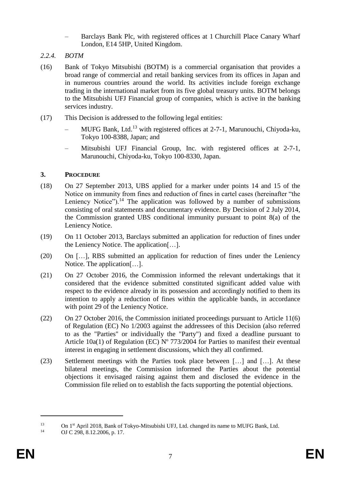- Barclays Bank Plc, with registered offices at 1 Churchill Place Canary Wharf London, E14 5HP, United Kingdom.
- *2.2.4. BOTM*
- (16) Bank of Tokyo Mitsubishi (BOTM) is a commercial organisation that provides a broad range of commercial and retail banking services from its offices in Japan and in numerous countries around the world. Its activities include foreign exchange trading in the international market from its five global treasury units. BOTM belongs to the Mitsubishi UFJ Financial group of companies, which is active in the banking services industry.
- (17) This Decision is addressed to the following legal entities:
	- MUFG Bank, Ltd.<sup>13</sup> with registered offices at 2-7-1, Marunouchi, Chiyoda-ku, Tokyo 100-8388, Japan; and
	- Mitsubishi UFJ Financial Group, Inc. with registered offices at 2-7-1, Marunouchi, Chiyoda-ku, Tokyo 100-8330, Japan.

## **3. PROCEDURE**

- (18) On 27 September 2013, UBS applied for a marker under points 14 and 15 of the Notice on immunity from fines and reduction of fines in cartel cases (hereinafter "the Leniency Notice").<sup>14</sup> The application was followed by a number of submissions consisting of oral statements and documentary evidence. By Decision of 2 July 2014, the Commission granted UBS conditional immunity pursuant to point 8(a) of the Leniency Notice.
- (19) On 11 October 2013, Barclays submitted an application for reduction of fines under the Leniency Notice. The application[…].
- (20) On […], RBS submitted an application for reduction of fines under the Leniency Notice. The application[…].
- (21) On 27 October 2016, the Commission informed the relevant undertakings that it considered that the evidence submitted constituted significant added value with respect to the evidence already in its possession and accordingly notified to them its intention to apply a reduction of fines within the applicable bands, in accordance with point 29 of the Leniency Notice.
- (22) On 27 October 2016, the Commission initiated proceedings pursuant to Article 11(6) of Regulation (EC) No 1/2003 against the addressees of this Decision (also referred to as the "Parties" or individually the "Party") and fixed a deadline pursuant to Article 10a(1) of Regulation (EC)  $N^{\circ}$  773/2004 for Parties to manifest their eventual interest in engaging in settlement discussions, which they all confirmed.
- (23) Settlement meetings with the Parties took place between […] and […]. At these bilateral meetings, the Commission informed the Parties about the potential objections it envisaged raising against them and disclosed the evidence in the Commission file relied on to establish the facts supporting the potential objections.

<sup>&</sup>lt;sup>13</sup> On 1<sup>st</sup> April 2018, Bank of Tokyo-Mitsubishi UFJ, Ltd. changed its name to MUFG Bank, Ltd.<br><sup>14</sup> OLG 208, 8, 12, 2006, p. 17

OJ C 298, 8.12.2006, p. 17.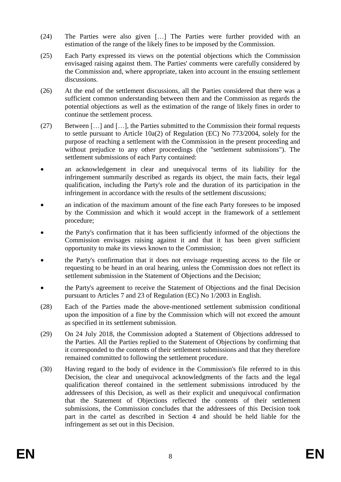- (24) The Parties were also given […] The Parties were further provided with an estimation of the range of the likely fines to be imposed by the Commission.
- (25) Each Party expressed its views on the potential objections which the Commission envisaged raising against them. The Parties' comments were carefully considered by the Commission and, where appropriate, taken into account in the ensuing settlement discussions.
- (26) At the end of the settlement discussions, all the Parties considered that there was a sufficient common understanding between them and the Commission as regards the potential objections as well as the estimation of the range of likely fines in order to continue the settlement process.
- (27) Between […] and […], the Parties submitted to the Commission their formal requests to settle pursuant to Article 10a(2) of Regulation (EC) No 773/2004, solely for the purpose of reaching a settlement with the Commission in the present proceeding and without prejudice to any other proceedings (the "settlement submissions"). The settlement submissions of each Party contained:
- an acknowledgement in clear and unequivocal terms of its liability for the infringement summarily described as regards its object, the main facts, their legal qualification, including the Party's role and the duration of its participation in the infringement in accordance with the results of the settlement discussions;
- an indication of the maximum amount of the fine each Party foresees to be imposed by the Commission and which it would accept in the framework of a settlement procedure;
- the Party's confirmation that it has been sufficiently informed of the objections the Commission envisages raising against it and that it has been given sufficient opportunity to make its views known to the Commission;
- the Party's confirmation that it does not envisage requesting access to the file or requesting to be heard in an oral hearing, unless the Commission does not reflect its settlement submission in the Statement of Objections and the Decision;
- the Party's agreement to receive the Statement of Objections and the final Decision pursuant to Articles 7 and 23 of Regulation (EC) No 1/2003 in English.
- (28) Each of the Parties made the above-mentioned settlement submission conditional upon the imposition of a fine by the Commission which will not exceed the amount as specified in its settlement submission.
- (29) On 24 July 2018, the Commission adopted a Statement of Objections addressed to the Parties. All the Parties replied to the Statement of Objections by confirming that it corresponded to the contents of their settlement submissions and that they therefore remained committed to following the settlement procedure.
- (30) Having regard to the body of evidence in the Commission's file referred to in this Decision, the clear and unequivocal acknowledgments of the facts and the legal qualification thereof contained in the settlement submissions introduced by the addressees of this Decision, as well as their explicit and unequivocal confirmation that the Statement of Objections reflected the contents of their settlement submissions, the Commission concludes that the addressees of this Decision took part in the cartel as described in Section [4](#page-9-0) and should be held liable for the infringement as set out in this Decision.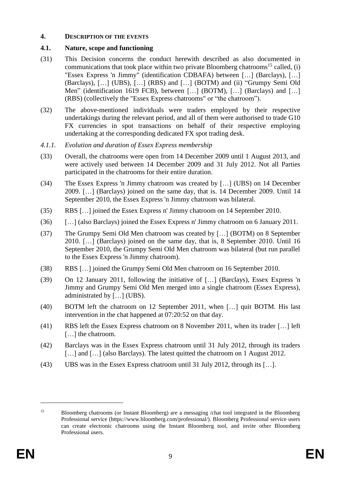#### <span id="page-9-0"></span>**4. DESCRIPTION OF THE EVENTS**

## **4.1. Nature, scope and functioning**

- (31) This Decision concerns the conduct herewith described as also documented in communications that took place within two private Bloomberg chatrooms<sup>15</sup> called, (i) "Essex Express 'n Jimmy" (identification CDBAFA) between […] (Barclays), […] (Barclays), […] (UBS), […] (RBS) and […] (BOTM) and (ii) "Grumpy Semi Old Men" (identification 1619 FCB), between [...] (BOTM), [...] (Barclays) and [...] (RBS) (collectively the "Essex Express chatrooms" or "the chatroom").
- (32) The above-mentioned individuals were traders employed by their respective undertakings during the relevant period, and all of them were authorised to trade G10 FX currencies in spot transactions on behalf of their respective employing undertaking at the corresponding dedicated FX spot trading desk.
- *4.1.1. Evolution and duration of Essex Express membership*
- (33) Overall, the chatrooms were open from 14 December 2009 until 1 August 2013, and were actively used between 14 December 2009 and 31 July 2012. Not all Parties participated in the chatrooms for their entire duration.
- (34) The Essex Express 'n Jimmy chatroom was created by […] (UBS) on 14 December 2009. […] (Barclays) joined on the same day, that is. 14 December 2009. Until 14 September 2010, the Essex Express 'n Jimmy chatroom was bilateral.
- (35) RBS […] joined the Essex Express n' Jimmy chatroom on 14 September 2010.
- (36) […] (also Barclays) joined the Essex Express n' Jimmy chatroom on 6 January 2011.
- (37) The Grumpy Semi Old Men chatroom was created by […] (BOTM) on 8 September 2010. […] (Barclays) joined on the same day, that is, 8 September 2010. Until 16 September 2010, the Grumpy Semi Old Men chatroom was bilateral (but run parallel to the Essex Express 'n Jimmy chatroom).
- (38) RBS […] joined the Grumpy Semi Old Men chatroom on 16 September 2010.
- (39) On 12 January 2011, following the initiative of […] (Barclays), Essex Express 'n Jimmy and Grumpy Semi Old Men merged into a single chatroom (Essex Express), administrated by […] (UBS).
- (40) BOTM left the chatroom on 12 September 2011, when […] quit BOTM. His last intervention in the chat happened at 07:20:52 on that day.
- (41) RBS left the Essex Express chatroom on 8 November 2011, when its trader […] left [...] the chatroom.
- (42) Barclays was in the Essex Express chatroom until 31 July 2012, through its traders [...] and [...] (also Barclays). The latest quitted the chatroom on 1 August 2012.
- (43) UBS was in the Essex Express chatroom until 31 July 2012, through its […].

<sup>15</sup> Bloomberg chatrooms (or Instant Bloomberg) are a messaging /chat tool integrated in the Bloomberg Professional service (https://www.bloomberg.com/professional/). Bloomberg Professional service users can create electronic chatrooms using the Instant Bloomberg tool, and invite other Bloomberg Professional users.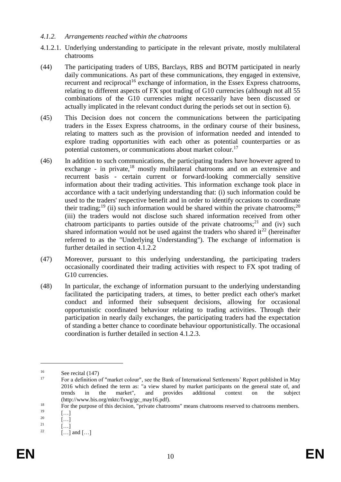#### <span id="page-10-0"></span>*4.1.2. Arrangements reached within the chatrooms*

- <span id="page-10-1"></span>4.1.2.1. Underlying understanding to participate in the relevant private, mostly multilateral chatrooms
- (44) The participating traders of UBS, Barclays, RBS and BOTM participated in nearly daily communications. As part of these communications, they engaged in extensive, recurrent and reciprocal<sup>16</sup> exchange of information, in the Essex Express chatrooms, relating to different aspects of FX spot trading of G10 currencies (although not all 55 combinations of the G10 currencies might necessarily have been discussed or actually implicated in the relevant conduct during the periods set out in section [6\)](#page-26-0).
- (45) This Decision does not concern the communications between the participating traders in the Essex Express chatrooms, in the ordinary course of their business, relating to matters such as the provision of information needed and intended to explore trading opportunities with each other as potential counterparties or as potential customers, or communications about market colour.<sup>17</sup>
- (46) In addition to such communications, the participating traders have however agreed to exchange - in private, $18$  mostly multilateral chatrooms and on an extensive and recurrent basis - certain current or forward-looking commercially sensitive information about their trading activities. This information exchange took place in accordance with a tacit underlying understanding that: (i) such information could be used to the traders' respective benefit and in order to identify occasions to coordinate their trading;<sup>19</sup> (ii) such information would be shared within the private chatrooms;<sup>20</sup> (iii) the traders would not disclose such shared information received from other chatroom participants to parties outside of the private chatrooms;<sup>21</sup> and (iv) such shared information would not be used against the traders who shared it<sup>22</sup> (hereinafter referred to as the "Underlying Understanding"). The exchange of information is further detailed in section [4.1.2.2](#page-11-0)
- (47) Moreover, pursuant to this underlying understanding, the participating traders occasionally coordinated their trading activities with respect to FX spot trading of G10 currencies.
- (48) In particular, the exchange of information pursuant to the underlying understanding facilitated the participating traders, at times, to better predict each other's market conduct and informed their subsequent decisions, allowing for occasional opportunistic coordinated behaviour relating to trading activities. Through their participation in nearly daily exchanges, the participating traders had the expectation of standing a better chance to coordinate behaviour opportunistically. The occasional coordination is further detailed in section [4.1.2.3.](#page-13-0)

 $\frac{16}{17}$  See recital [\(147\)](#page-30-0)

<sup>17</sup> For a definition of "market colour", see the Bank of International Settlements' Report published in May 2016 which defined the term as: "a view shared by market participants on the general state of, and trends in the market", and provides additional context on the subject (http://www.bis.org/mktc/fxwg/gc\_may16.pdf).

<sup>&</sup>lt;sup>18</sup> For the purpose of this decision, "private chatrooms" means chatrooms reserved to chatrooms members.

 $\begin{bmatrix} 19 \\ 20 \end{bmatrix}$   $\begin{bmatrix} \ldots \\ \ldots \end{bmatrix}$ 

 $\begin{bmatrix} 20 \\ 21 \end{bmatrix}$   $\begin{bmatrix} \ldots \\ \ldots \end{bmatrix}$ 

 $\begin{bmatrix} 21 \\ 22 \end{bmatrix}$ 

 $[\dots]$  and  $[\dots]$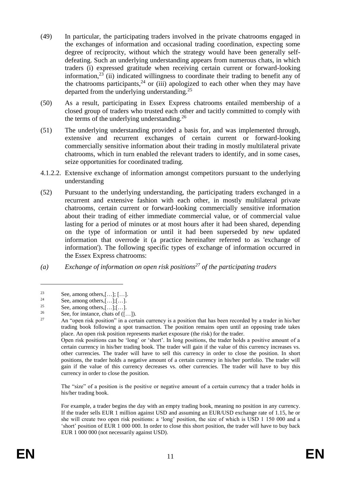- <span id="page-11-1"></span>(49) In particular, the participating traders involved in the private chatrooms engaged in the exchanges of information and occasional trading coordination, expecting some degree of reciprocity, without which the strategy would have been generally selfdefeating. Such an underlying understanding appears from numerous chats, in which traders (i) expressed gratitude when receiving certain current or forward-looking information,<sup>23</sup> (ii) indicated willingness to coordinate their trading to benefit any of the chatrooms participants, $24$  or (iii) apologized to each other when they may have departed from the underlying understanding.<sup>25</sup>
- <span id="page-11-2"></span>(50) As a result, participating in Essex Express chatrooms entailed membership of a closed group of traders who trusted each other and tacitly committed to comply with the terms of the underlying understanding.<sup>26</sup>
- (51) The underlying understanding provided a basis for, and was implemented through, extensive and recurrent exchanges of certain current or forward-looking commercially sensitive information about their trading in mostly multilateral private chatrooms, which in turn enabled the relevant traders to identify, and in some cases, seize opportunities for coordinated trading.
- <span id="page-11-0"></span>4.1.2.2. Extensive exchange of information amongst competitors pursuant to the underlying understanding
- (52) Pursuant to the underlying understanding, the participating traders exchanged in a recurrent and extensive fashion with each other, in mostly multilateral private chatrooms, certain current or forward-looking commercially sensitive information about their trading of either immediate commercial value, or of commercial value lasting for a period of minutes or at most hours after it had been shared, depending on the type of information or until it had been superseded by new updated information that overrode it (a practice hereinafter referred to as 'exchange of information'). The following specific types of exchange of information occurred in the Essex Express chatrooms:
- *(a) Exchange of information on open risk positions<sup>27</sup> of the participating traders*

1

Open risk positions can be 'long' or 'short'. In long positions, the trader holds a positive amount of a certain currency in his/her trading book. The trader will gain if the value of this currency increases vs. other currencies. The trader will have to sell this currency in order to close the position. In short positions, the trader holds a negative amount of a certain currency in his/her portfolio. The trader will gain if the value of this currency decreases vs. other currencies. The trader will have to buy this currency in order to close the position.

The "size" of a position is the positive or negative amount of a certain currency that a trader holds in his/her trading book.

For example, a trader begins the day with an empty trading book, meaning no position in any currency. If the trader sells EUR 1 million against USD and assuming an EUR/USD exchange rate of 1.15, he or she will create two open risk positions: a 'long' position, the size of which is USD 1 150 000 and a 'short' position of EUR 1 000 000. In order to close this short position, the trader will have to buy back EUR 1 000 000 (not necessarily against USD).

<sup>&</sup>lt;sup>23</sup> See, among others,  $[\dots]; [\dots]$ .<br><sup>24</sup>

<sup>&</sup>lt;sup>24</sup> See, among others,  $[\dots]$ ;  $[\dots]$ 

<sup>&</sup>lt;sup>25</sup> See, among others,  $[\dots]$ ;  $[\dots]$ 

<sup>&</sup>lt;sup>26</sup> See, for instance, chats of  $([...]$ .

<sup>27</sup> An "open risk position" in a certain currency is a position that has been recorded by a trader in his/her trading book following a spot transaction. The position remains open until an opposing trade takes place. An open risk position represents market exposure (the risk) for the trader.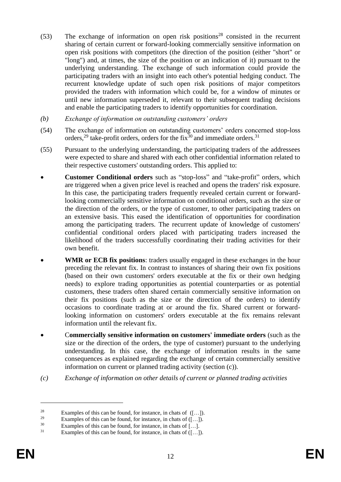- <span id="page-12-0"></span> $(53)$  The exchange of information on open risk positions<sup>28</sup> consisted in the recurrent sharing of certain current or forward-looking commercially sensitive information on open risk positions with competitors (the direction of the position (either "short" or "long") and, at times, the size of the position or an indication of it) pursuant to the underlying understanding. The exchange of such information could provide the participating traders with an insight into each other's potential hedging conduct. The recurrent knowledge update of such open risk positions of major competitors provided the traders with information which could be, for a window of minutes or until new information superseded it, relevant to their subsequent trading decisions and enable the participating traders to identify opportunities for coordination.
- *(b) Exchange of information on outstanding customers' orders*
- (54) The exchange of information on outstanding customers' orders concerned stop-loss orders,<sup>29</sup> take-profit orders, orders for the fix<sup>30</sup> and immediate orders.<sup>31</sup>
- (55) Pursuant to the underlying understanding, the participating traders of the addressees were expected to share and shared with each other confidential information related to their respective customers' outstanding orders. This applied to:
- **Customer Conditional orders** such as "stop-loss" and "take-profit" orders, which are triggered when a given price level is reached and opens the traders' risk exposure. In this case, the participating traders frequently revealed certain current or forwardlooking commercially sensitive information on conditional orders, such as the size or the direction of the orders, or the type of customer, to other participating traders on an extensive basis. This eased the identification of opportunities for coordination among the participating traders. The recurrent update of knowledge of customers' confidential conditional orders placed with participating traders increased the likelihood of the traders successfully coordinating their trading activities for their own benefit.
- **WMR or ECB fix positions**: traders usually engaged in these exchanges in the hour preceding the relevant fix. In contrast to instances of sharing their own fix positions (based on their own customers' orders executable at the fix or their own hedging needs) to explore trading opportunities as potential counterparties or as potential customers, these traders often shared certain commercially sensitive information on their fix positions (such as the size or the direction of the orders) to identify occasions to coordinate trading at or around the fix. Shared current or forwardlooking information on customers' orders executable at the fix remains relevant information until the relevant fix.
- C**ommercially sensitive information on customers' immediate orders** (such as the size or the direction of the orders, the type of customer) pursuant to the underlying understanding. In this case, the exchange of information results in the same consequences as explained regarding the exchange of certain commercially sensitive information on current or planned trading activity (section (c)).
- *(c) Exchange of information on other details of current or planned trading activities*

<sup>&</sup>lt;sup>28</sup> Examples of this can be found, for instance, in chats of  $([-...])$ .<br><sup>29</sup> Examples of this can be found, for instance, in shats of  $([-...])$ .

<sup>&</sup>lt;sup>29</sup> Examples of this can be found, for instance, in chats of  $([-..])$ .

<sup>&</sup>lt;sup>30</sup> Examples of this can be found, for instance, in chats of [...].

Examples of this can be found, for instance, in chats of  $([-...]$ .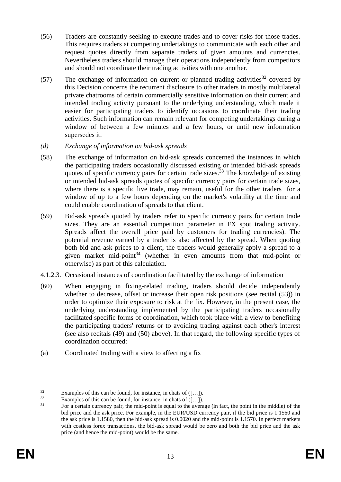- (56) Traders are constantly seeking to execute trades and to cover risks for those trades. This requires traders at competing undertakings to communicate with each other and request quotes directly from separate traders of given amounts and currencies. Nevertheless traders should manage their operations independently from competitors and should not coordinate their trading activities with one another.
- (57) The exchange of information on current or planned trading activities<sup>32</sup> covered by this Decision concerns the recurrent disclosure to other traders in mostly multilateral private chatrooms of certain commercially sensitive information on their current and intended trading activity pursuant to the underlying understanding, which made it easier for participating traders to identify occasions to coordinate their trading activities. Such information can remain relevant for competing undertakings during a window of between a few minutes and a few hours, or until new information supersedes it.
- *(d) Exchange of information on bid-ask spreads*
- (58) The exchange of information on bid-ask spreads concerned the instances in which the participating traders occasionally discussed existing or intended bid-ask spreads quotes of specific currency pairs for certain trade sizes.<sup>33</sup> The knowledge of existing or intended bid-ask spreads quotes of specific currency pairs for certain trade sizes, where there is a specific live trade, may remain, useful for the other traders for a window of up to a few hours depending on the market's volatility at the time and could enable coordination of spreads to that client.
- (59) Bid-ask spreads quoted by traders refer to specific currency pairs for certain trade sizes. They are an essential competition parameter in FX spot trading activity. Spreads affect the overall price paid by customers for trading currencies). The potential revenue earned by a trader is also affected by the spread. When quoting both bid and ask prices to a client, the traders would generally apply a spread to a given market mid-point<sup>34</sup> (whether in even amounts from that mid-point or otherwise) as part of this calculation.
- <span id="page-13-0"></span>4.1.2.3. Occasional instances of coordination facilitated by the exchange of information
- (60) When engaging in fixing-related trading, traders should decide independently whether to decrease, offset or increase their open risk positions (see recital [\(53\)\)](#page-12-0) in order to optimize their exposure to risk at the fix. However, in the present case, the underlying understanding implemented by the participating traders occasionally facilitated specific forms of coordination, which took place with a view to benefiting the participating traders' returns or to avoiding trading against each other's interest (see also recitals [\(49\)](#page-11-1) and [\(50\)](#page-11-2) above). In that regard, the following specific types of coordination occurred:
- (a) Coordinated trading with a view to affecting a fix

<sup>&</sup>lt;sup>32</sup> Examples of this can be found, for instance, in chats of  $([-..])$ .<br><sup>33</sup> Examples of this can be found, for instance, in chats of  $([-1])$ 

<sup>&</sup>lt;sup>33</sup> Examples of this can be found, for instance, in chats of  $([\dots])$ .<br><sup>34</sup> Eq. 2 certain currency pair, the mid point is equal to the average

<sup>34</sup> For a certain currency pair, the mid-point is equal to the average (in fact, the point in the middle) of the bid price and the ask price. For example, in the EUR/USD currency pair, if the bid price is 1.1560 and the ask price is 1.1580, then the bid-ask spread is 0.0020 and the mid-point is 1.1570. In perfect markets with costless forex transactions, the bid-ask spread would be zero and both the bid price and the ask price (and hence the mid-point) would be the same.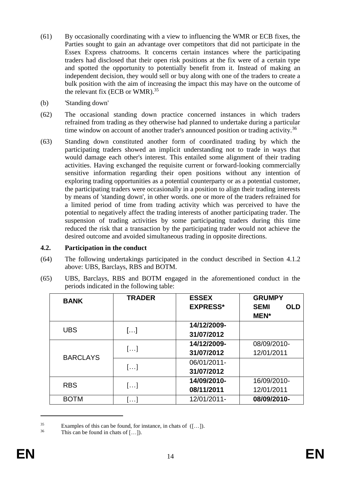- <span id="page-14-0"></span>(61) By occasionally coordinating with a view to influencing the WMR or ECB fixes, the Parties sought to gain an advantage over competitors that did not participate in the Essex Express chatrooms. It concerns certain instances where the participating traders had disclosed that their open risk positions at the fix were of a certain type and spotted the opportunity to potentially benefit from it. Instead of making an independent decision, they would sell or buy along with one of the traders to create a bulk position with the aim of increasing the impact this may have on the outcome of the relevant fix (ECB or WMR). $35$
- (b) 'Standing down'
- <span id="page-14-1"></span>(62) The occasional standing down practice concerned instances in which traders refrained from trading as they otherwise had planned to undertake during a particular time window on account of another trader's announced position or trading activity.<sup>36</sup>
- (63) Standing down constituted another form of coordinated trading by which the participating traders showed an implicit understanding not to trade in ways that would damage each other's interest. This entailed some alignment of their trading activities. Having exchanged the requisite current or forward-looking commercially sensitive information regarding their open positions without any intention of exploring trading opportunities as a potential counterparty or as a potential customer, the participating traders were occasionally in a position to align their trading interests by means of 'standing down', in other words. one or more of the traders refrained for a limited period of time from trading activity which was perceived to have the potential to negatively affect the trading interests of another participating trader. The suspension of trading activities by some participating traders during this time reduced the risk that a transaction by the participating trader would not achieve the desired outcome and avoided simultaneous trading in opposite directions.

## **4.2. Participation in the conduct**

- (64) The following undertakings participated in the conduct described in Section [4.1.2](#page-10-0) above: UBS, Barclays, RBS and BOTM.
- <span id="page-14-2"></span>(65) UBS, Barclays, RBS and BOTM engaged in the aforementioned conduct in the periods indicated in the following table:

| <b>BANK</b>     | <b>TRADER</b>           | <b>ESSEX</b><br><b>EXPRESS*</b> | <b>GRUMPY</b><br><b>SEMI</b><br><b>OLD</b><br><b>MEN*</b> |
|-----------------|-------------------------|---------------------------------|-----------------------------------------------------------|
| <b>UBS</b>      | []                      | 14/12/2009-<br>31/07/2012       |                                                           |
| <b>BARCLAYS</b> | []                      | 14/12/2009-<br>31/07/2012       | 08/09/2010-<br>12/01/2011                                 |
|                 | []                      | 06/01/2011-<br>31/07/2012       |                                                           |
| <b>RBS</b>      | []                      | 14/09/2010-<br>08/11/2011       | 16/09/2010-<br>12/01/2011                                 |
| <b>BOTM</b>     | $\left  \ldots \right $ | 12/01/2011-                     | 08/09/2010-                                               |

<sup>&</sup>lt;sup>35</sup> Examples of this can be found, for instance, in chats of  $([-...]$ .

This can be found in chats of  $[\dots]$ ).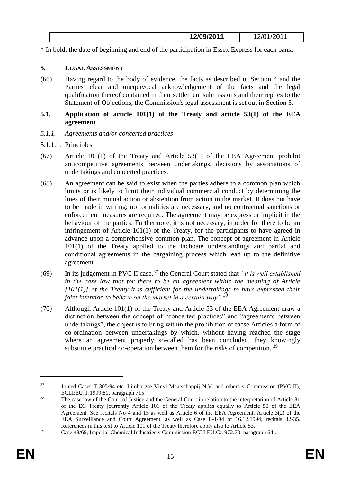|  | 12/09/2011 | ⌒ィ<br>, , , |
|--|------------|-------------|
|  |            |             |

\* In bold, the date of beginning and end of the participation in Essex Express for each bank.

# **5. LEGAL ASSESSMENT**

(66) Having regard to the body of evidence, the facts as described in Section 4 and the Parties' clear and unequivocal acknowledgement of the facts and the legal qualification thereof contained in their settlement submissions and their replies to the Statement of Objections, the Commission's legal assessment is set out in Section 5.

## **5.1. Application of article 101(1) of the Treaty and article 53(1) of the EEA agreement**

- *5.1.1. Agreements and/or concerted practices*
- 5.1.1.1. Principles
- (67) Article 101(1) of the Treaty and Article 53(1) of the EEA Agreement prohibit anticompetitive agreements between undertakings, decisions by associations of undertakings and concerted practices.
- (68) An agreement can be said to exist when the parties adhere to a common plan which limits or is likely to limit their individual commercial conduct by determining the lines of their mutual action or abstention from action in the market. It does not have to be made in writing; no formalities are necessary, and no contractual sanctions or enforcement measures are required. The agreement may be express or implicit in the behaviour of the parties. Furthermore, it is not necessary, in order for there to be an infringement of Article 101(1) of the Treaty, for the participants to have agreed in advance upon a comprehensive common plan. The concept of agreement in Article 101(1) of the Treaty applied to the inchoate understandings and partial and conditional agreements in the bargaining process which lead up to the definitive agreement.
- (69) In its judgement in PVC II case,<sup>37</sup> the General Court stated that *"it is well established in the case law that for there to be an agreement within the meaning of Article*  [101(1)] of the Treaty it is sufficient for the undertakings to have expressed their *joint intention to behave on the market in a certain way".<sup>38</sup>*
- (70) Although Article 101(1) of the Treaty and Article 53 of the EEA Agreement draw a distinction between the concept of "concerted practices" and "agreements between undertakings", the object is to bring within the prohibition of these Articles a form of co-ordination between undertakings by which, without having reached the stage where an agreement properly so-called has been concluded, they knowingly substitute practical co-operation between them for the risks of competition.  $39$

<sup>&</sup>lt;sup>37</sup> Joined Cases T-305/94 etc. Limburgse Vinyl Maatschappij N.V. and others v Commission (PVC II), ECLI:EU:T:1999:80, paragraph 715.

<sup>&</sup>lt;sup>38</sup> The case law of the Court of Justice and the General Court in relation to the interpretation of Article 81 of the EC Treaty [currently Article 101 of the Treaty applies equally to Article 53 of the EEA Agreement. See recitals No 4 and 15 as well as Article 6 of the EEA Agreement, Article 3(2) of the EEA Surveillance and Court Agreement, as well as Case E-1/94 of 16.12.1994, recitals 32-35. References in this text to Article 101 of the Treaty therefore apply also to Article 53..

<sup>&</sup>lt;sup>39</sup> Case 48/69, Imperial Chemical Industries v Commission ECLI:EU:C:1972:70, paragraph 64..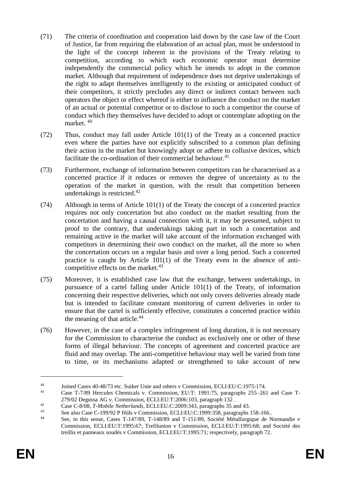- (71) The criteria of coordination and cooperation laid down by the case law of the Court of Justice, far from requiring the elaboration of an actual plan, must be understood in the light of the concept inherent in the provisions of the Treaty relating to competition, according to which each economic operator must determine independently the commercial policy which he intends to adopt in the common market. Although that requirement of independence does not deprive undertakings of the right to adapt themselves intelligently to the existing or anticipated conduct of their competitors, it strictly precludes any direct or indirect contact between such operators the object or effect whereof is either to influence the conduct on the market of an actual or potential competitor or to disclose to such a competitor the course of conduct which they themselves have decided to adopt or contemplate adopting on the market. <sup>40</sup>
- (72) Thus, conduct may fall under Article 101(1) of the Treaty as a concerted practice even where the parties have not explicitly subscribed to a common plan defining their action in the market but knowingly adopt or adhere to collusive devices, which facilitate the co-ordination of their commercial behaviour.<sup>41</sup>
- (73) Furthermore, exchange of information between competitors can be characterised as a concerted practice if it reduces or removes the degree of uncertainty as to the operation of the market in question, with the result that competition between undertakings is restricted. $42$
- (74) Although in terms of Article 101(1) of the Treaty the concept of a concerted practice requires not only concertation but also conduct on the market resulting from the concertation and having a causal connection with it, it may be presumed, subject to proof to the contrary, that undertakings taking part in such a concertation and remaining active in the market will take account of the information exchanged with competitors in determining their own conduct on the market, all the more so when the concertation occurs on a regular basis and over a long period. Such a concerted practice is caught by Article 101(1) of the Treaty even in the absence of anticompetitive effects on the market. $43$
- (75) Moreover, it is established case law that the exchange, between undertakings, in pursuance of a cartel falling under Article 101(1) of the Treaty, of information concerning their respective deliveries, which not only covers deliveries already made but is intended to facilitate constant monitoring of current deliveries in order to ensure that the cartel is sufficiently effective, constitutes a concerted practice within the meaning of that article.<sup>44</sup>
- (76) However, in the case of a complex infringement of long duration, it is not necessary for the Commission to characterise the conduct as exclusively one or other of these forms of illegal behaviour. The concepts of agreement and concerted practice are fluid and may overlap. The anti-competitive behaviour may well be varied from time to time, or its mechanisms adapted or strengthened to take account of new

<sup>40</sup> Joined Cases 40-48/73 etc. Suiker Unie and others v Commission, ECLI:EU:C:1975:174.

<sup>41</sup> Case T-7/89 Hercules Chemicals v. Commission, EU:T: 1991:75, paragraphs 255–261 and Case T-279/02 Degussa AG v. Commission, ECLI:EU:T:2006:103, paragraph 132 .

<sup>42</sup> Case C-8/08, *T-Mobile Netherlands*, ECLI:EU:C:2009:343, paragraphs 35 and 43.

<sup>&</sup>lt;sup>43</sup> See also Case C-199/92 P Hüls v Commission, ECLI:EU:C:1999:358, paragraphs 158-166..<br><sup>44</sup> See in this sance Cases T 147/80, T 148/80 and T 151/80. Sociáté Mátellurgique de N

See, in this sense, Cases T-147/89, T-148/89 and T-151/89, Société Métallurgique de Normandie v Commission, ECLI:EU:T:1995:67; Trefilunion v Commission, ECLI:EU:T:1995:68; and Société des treillis et panneaux soudés v Commission, ECLI:EU:T:1995:71; respectively, paragraph 72.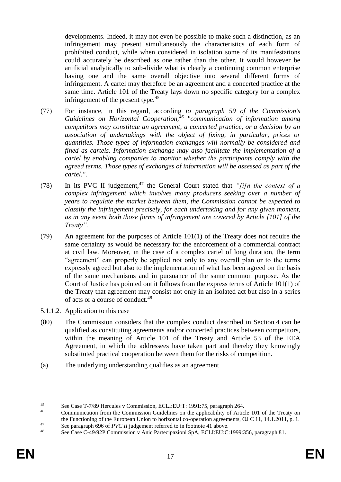developments. Indeed, it may not even be possible to make such a distinction, as an infringement may present simultaneously the characteristics of each form of prohibited conduct, while when considered in isolation some of its manifestations could accurately be described as one rather than the other. It would however be artificial analytically to sub-divide what is clearly a continuing common enterprise having one and the same overall objective into several different forms of infringement. A cartel may therefore be an agreement and a concerted practice at the same time. Article 101 of the Treaty lays down no specific category for a complex infringement of the present type.<sup>45</sup>

- (77) For instance, in this regard, according *to paragraph 59 of the Commission's Guidelines on Horizontal Cooperation,<sup>46</sup> "communication of information among competitors may constitute an agreement, a concerted practice, or a decision by an association of undertakings with the object of fixing, in particular, prices or quantities. Those types of information exchanges will normally be considered and fined as cartels. Information exchange may also facilitate the implementation of a cartel by enabling companies to monitor whether the participants comply with the agreed terms. Those types of exchanges of information will be assessed as part of the cartel."*.
- (78) In its PVC II judgement,  $47$  the General Court stated that *"[i]n the context of a complex infringement which involves many producers seeking over a number of years to regulate the market between them, the Commission cannot be expected to classify the infringement precisely, for each undertaking and for any given moment, as in any event both those forms of infringement are covered by Article [101] of the Treaty".*
- (79) An agreement for the purposes of Article 101(1) of the Treaty does not require the same certainty as would be necessary for the enforcement of a commercial contract at civil law. Moreover, in the case of a complex cartel of long duration, the term "agreement" can properly be applied not only to any overall plan or to the terms expressly agreed but also to the implementation of what has been agreed on the basis of the same mechanisms and in pursuance of the same common purpose. As the Court of Justice has pointed out it follows from the express terms of Article 101(1) of the Treaty that agreement may consist not only in an isolated act but also in a series of acts or a course of conduct.<sup>48</sup>
- <span id="page-17-0"></span>5.1.1.2. Application to this case
- (80) The Commission considers that the complex conduct described in Section 4 can be qualified as constituting agreements and/or concerted practices between competitors, within the meaning of Article 101 of the Treaty and Article 53 of the EEA Agreement, in which the addressees have taken part and thereby they knowingly substituted practical cooperation between them for the risks of competition.
- (a) The underlying understanding qualifies as an agreement

<sup>&</sup>lt;sup>45</sup> See Case T-7/89 Hercules v Commission, ECLI:EU:T: 1991:75, paragraph 264.

<sup>46</sup> Communication from the Commission Guidelines on the applicability of Article 101 of the Treaty on the Functioning of the European Union to horizontal co-operation agreements, OJ C 11, 14.1.2011, p. 1. 47 See paragraph 696 of *PVC II* judgement referred to in footnote 41 above.

See Case C-49/92P Commission v Anic Partecipazioni SpA, ECLI:EU:C:1999:356, paragraph 81.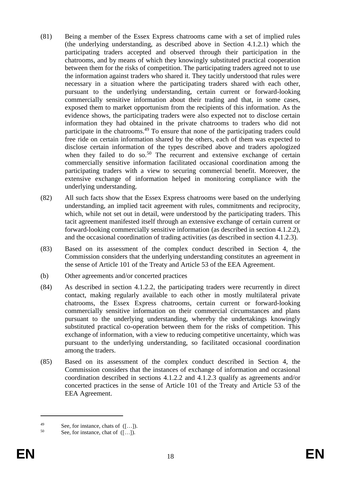- (81) Being a member of the Essex Express chatrooms came with a set of implied rules (the underlying understanding, as described above in Section [4.1.2.1\)](#page-10-1) which the participating traders accepted and observed through their participation in the chatrooms, and by means of which they knowingly substituted practical cooperation between them for the risks of competition. The participating traders agreed not to use the information against traders who shared it. They tacitly understood that rules were necessary in a situation where the participating traders shared with each other, pursuant to the underlying understanding, certain current or forward-looking commercially sensitive information about their trading and that, in some cases, exposed them to market opportunism from the recipients of this information. As the evidence shows, the participating traders were also expected not to disclose certain information they had obtained in the private chatrooms to traders who did not participate in the chatrooms.<sup>49</sup> To ensure that none of the participating traders could free ride on certain information shared by the others, each of them was expected to disclose certain information of the types described above and traders apologized when they failed to do so. $50$  The recurrent and extensive exchange of certain commercially sensitive information facilitated occasional coordination among the participating traders with a view to securing commercial benefit. Moreover, the extensive exchange of information helped in monitoring compliance with the underlying understanding.
- (82) All such facts show that the Essex Express chatrooms were based on the underlying understanding, an implied tacit agreement with rules, commitments and reciprocity, which, while not set out in detail, were understood by the participating traders. This tacit agreement manifested itself through an extensive exchange of certain current or forward-looking commercially sensitive information (as described in section 4.1.2.2), and the occasional coordination of trading activities (as described in section 4.1.2.3).
- (83) Based on its assessment of the complex conduct described in Section 4, the Commission considers that the underlying understanding constitutes an agreement in the sense of Article 101 of the Treaty and Article 53 of the EEA Agreement.
- (b) Other agreements and/or concerted practices
- (84) As described in section 4.1.2.2, the participating traders were recurrently in direct contact, making regularly available to each other in mostly multilateral private chatrooms, the Essex Express chatrooms, certain current or forward-looking commercially sensitive information on their commercial circumstances and plans pursuant to the underlying understanding, whereby the undertakings knowingly substituted practical co-operation between them for the risks of competition. This exchange of information, with a view to reducing competitive uncertainty, which was pursuant to the underlying understanding, so facilitated occasional coordination among the traders.
- (85) Based on its assessment of the complex conduct described in Section 4, the Commission considers that the instances of exchange of information and occasional coordination described in sections 4.1.2.2 and 4.1.2.3 qualify as agreements and/or concerted practices in the sense of Article 101 of the Treaty and Article 53 of the EEA Agreement.

<sup>49</sup> See, for instance, chats of  $([...]$ .

See, for instance, chat of  $([-...]$ .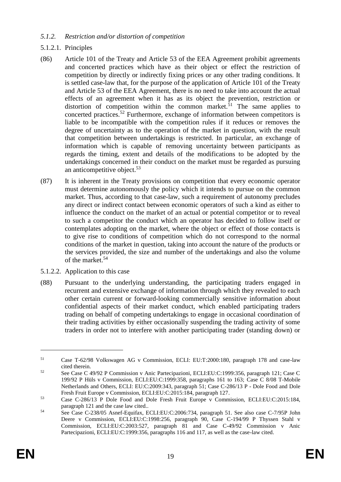## *5.1.2. Restriction and/or distortion of competition*

## 5.1.2.1. Principles

- (86) Article 101 of the Treaty and Article 53 of the EEA Agreement prohibit agreements and concerted practices which have as their object or effect the restriction of competition by directly or indirectly fixing prices or any other trading conditions. It is settled case-law that, for the purpose of the application of Article 101 of the Treaty and Article 53 of the EEA Agreement, there is no need to take into account the actual effects of an agreement when it has as its object the prevention, restriction or distortion of competition within the common market.<sup>51</sup> The same applies to concerted practices.<sup>52</sup> Furthermore, exchange of information between competitors is liable to be incompatible with the competition rules if it reduces or removes the degree of uncertainty as to the operation of the market in question, with the result that competition between undertakings is restricted. In particular, an exchange of information which is capable of removing uncertainty between participants as regards the timing, extent and details of the modifications to be adopted by the undertakings concerned in their conduct on the market must be regarded as pursuing an anticompetitive object.<sup>53</sup>
- (87) It is inherent in the Treaty provisions on competition that every economic operator must determine autonomously the policy which it intends to pursue on the common market. Thus, according to that case-law, such a requirement of autonomy precludes any direct or indirect contact between economic operators of such a kind as either to influence the conduct on the market of an actual or potential competitor or to reveal to such a competitor the conduct which an operator has decided to follow itself or contemplates adopting on the market, where the object or effect of those contacts is to give rise to conditions of competition which do not correspond to the normal conditions of the market in question, taking into account the nature of the products or the services provided, the size and number of the undertakings and also the volume of the market.<sup>54</sup>
- 5.1.2.2. Application to this case
- (88) Pursuant to the underlying understanding, the participating traders engaged in recurrent and extensive exchange of information through which they revealed to each other certain current or forward-looking commercially sensitive information about confidential aspects of their market conduct, which enabled participating traders trading on behalf of competing undertakings to engage in occasional coordination of their trading activities by either occasionally suspending the trading activity of some traders in order not to interfere with another participating trader (standing down) or

<sup>51</sup> Case T-62/98 Volkswagen AG v Commission, ECLI: EU:T:2000:180, paragraph 178 and case-law cited therein.

<sup>52</sup> See Case C 49/92 P Commission v Anic Partecipazioni, ECLI:EU:C:1999:356, paragraph 121; Case C 199/92 P Hüls v Commission, ECLI:EU:C:1999:358, paragraphs 161 to 163; Case C 8/08 T-Mobile Netherlands and Others, ECLI: EU:C:2009:343, paragraph 51; Case C-286/13 P - Dole Food and Dole Fresh Fruit Europe v Commission, ECLI:EU:C:2015:184, paragraph 127.

<sup>53</sup> Case C-286/13 P Dole Food and Dole Fresh Fruit Europe v Commission, ECLI:EU:C:2015:184, paragraph 121 and the case law cited..

<sup>54</sup> See Case C-238/05 Asnef-Equifax, ECLI:EU:C:2006:734, paragraph 51. See also case C-7/95P John Deere v Commission, ECLI:EU:C:1998:256, paragraph 90, Case C-194/99 P Thyssen Stahl v Commission, ECLI:EU:C:2003:527, paragraph 81 and Case C-49/92 Commission v Anic Partecipazioni, ECLI:EU:C:1999:356, paragraphs 116 and 117, as well as the case-law cited.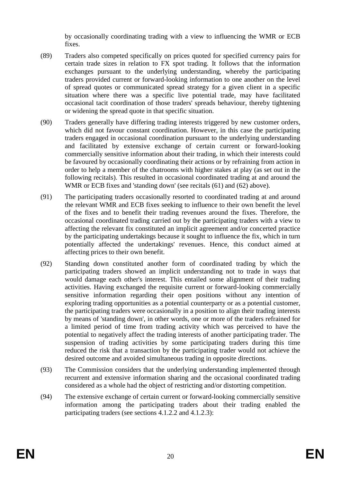by occasionally coordinating trading with a view to influencing the WMR or ECB fixes.

- (89) Traders also competed specifically on prices quoted for specified currency pairs for certain trade sizes in relation to FX spot trading. It follows that the information exchanges pursuant to the underlying understanding, whereby the participating traders provided current or forward-looking information to one another on the level of spread quotes or communicated spread strategy for a given client in a specific situation where there was a specific live potential trade, may have facilitated occasional tacit coordination of those traders' spreads behaviour, thereby tightening or widening the spread quote in that specific situation.
- (90) Traders generally have differing trading interests triggered by new customer orders, which did not favour constant coordination. However, in this case the participating traders engaged in occasional coordination pursuant to the underlying understanding and facilitated by extensive exchange of certain current or forward-looking commercially sensitive information about their trading, in which their interests could be favoured by occasionally coordinating their actions or by refraining from action in order to help a member of the chatrooms with higher stakes at play (as set out in the following recitals). This resulted in occasional coordinated trading at and around the WMR or ECB fixes and 'standing down' (see recitals [\(61\)](#page-14-0) and [\(62\)](#page-14-1) above).
- (91) The participating traders occasionally resorted to coordinated trading at and around the relevant WMR and ECB fixes seeking to influence to their own benefit the level of the fixes and to benefit their trading revenues around the fixes. Therefore, the occasional coordinated trading carried out by the participating traders with a view to affecting the relevant fix constituted an implicit agreement and/or concerted practice by the participating undertakings because it sought to influence the fix, which in turn potentially affected the undertakings' revenues. Hence, this conduct aimed at affecting prices to their own benefit.
- (92) Standing down constituted another form of coordinated trading by which the participating traders showed an implicit understanding not to trade in ways that would damage each other's interest. This entailed some alignment of their trading activities. Having exchanged the requisite current or forward-looking commercially sensitive information regarding their open positions without any intention of exploring trading opportunities as a potential counterparty or as a potential customer, the participating traders were occasionally in a position to align their trading interests by means of 'standing down', in other words, one or more of the traders refrained for a limited period of time from trading activity which was perceived to have the potential to negatively affect the trading interests of another participating trader. The suspension of trading activities by some participating traders during this time reduced the risk that a transaction by the participating trader would not achieve the desired outcome and avoided simultaneous trading in opposite directions.
- (93) The Commission considers that the underlying understanding implemented through recurrent and extensive information sharing and the occasional coordinated trading considered as a whole had the object of restricting and/or distorting competition.
- (94) The extensive exchange of certain current or forward-looking commercially sensitive information among the participating traders about their trading enabled the participating traders (see sections [4.1.2.2](#page-11-0) and [4.1.2.3\)](#page-13-0):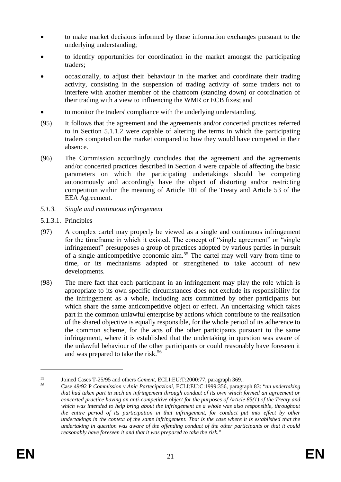- to make market decisions informed by those information exchanges pursuant to the underlying understanding;
- to identify opportunities for coordination in the market amongst the participating traders;
- occasionally, to adjust their behaviour in the market and coordinate their trading activity, consisting in the suspension of trading activity of some traders not to interfere with another member of the chatroom (standing down) or coordination of their trading with a view to influencing the WMR or ECB fixes; and
- to monitor the traders' compliance with the underlying understanding.
- (95) It follows that the agreement and the agreements and/or concerted practices referred to in Section [5.1.1.2](#page-17-0) were capable of altering the terms in which the participating traders competed on the market compared to how they would have competed in their absence.
- (96) The Commission accordingly concludes that the agreement and the agreements and/or concerted practices described in Section [4](#page-9-0) were capable of affecting the basic parameters on which the participating undertakings should be competing autonomously and accordingly have the object of distorting and/or restricting competition within the meaning of Article 101 of the Treaty and Article 53 of the EEA Agreement.
- *5.1.3. Single and continuous infringement*
- 5.1.3.1. Principles
- (97) A complex cartel may properly be viewed as a single and continuous infringement for the timeframe in which it existed. The concept of "single agreement" or "single infringement" presupposes a group of practices adopted by various parties in pursuit of a single anticompetitive economic aim.<sup>55</sup> The cartel may well vary from time to time, or its mechanisms adapted or strengthened to take account of new developments.
- (98) The mere fact that each participant in an infringement may play the role which is appropriate to its own specific circumstances does not exclude its responsibility for the infringement as a whole, including acts committed by other participants but which share the same anticompetitive object or effect. An undertaking which takes part in the common unlawful enterprise by actions which contribute to the realisation of the shared objective is equally responsible, for the whole period of its adherence to the common scheme, for the acts of the other participants pursuant to the same infringement, where it is established that the undertaking in question was aware of the unlawful behaviour of the other participants or could reasonably have foreseen it and was prepared to take the risk.<sup>56</sup>

<sup>55</sup> Joined Cases T-25/95 and others *Cement*, ECLI:EU:T:2000:77, paragraph 369...<br>56 Case 40/02 B Commission u Ania Bantasing riggi, ECLI:EU:C:1000:256, paragraph

<sup>56</sup> Case 49/92 P *Commission v Anic Partecipazioni,* ECLI:EU:C:1999:356, paragraph 83: "*an undertaking that had taken part in such an infringement through conduct of its own which formed an agreement or concerted practice having an anti-competitive object for the purposes of Article 85(1) of the Treaty and which was intended to help bring about the infringement as a whole was also responsible, throughout the entire period of its participation in that infringement, for conduct put into effect by other undertakings in the context of the same infringement. That is the case where it is established that the undertaking in question was aware of the offending conduct of the other participants or that it could reasonably have foreseen it and that it was prepared to take the risk.*"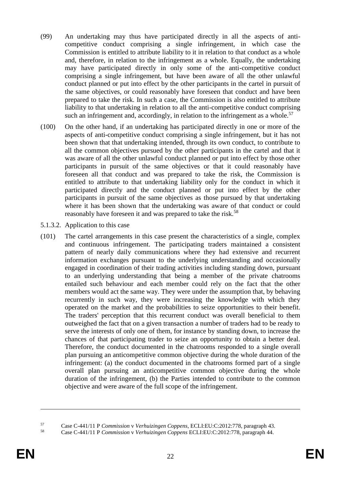- (99) An undertaking may thus have participated directly in all the aspects of anticompetitive conduct comprising a single infringement, in which case the Commission is entitled to attribute liability to it in relation to that conduct as a whole and, therefore, in relation to the infringement as a whole. Equally, the undertaking may have participated directly in only some of the anti-competitive conduct comprising a single infringement, but have been aware of all the other unlawful conduct planned or put into effect by the other participants in the cartel in pursuit of the same objectives, or could reasonably have foreseen that conduct and have been prepared to take the risk. In such a case, the Commission is also entitled to attribute liability to that undertaking in relation to all the anti-competitive conduct comprising such an infringement and, accordingly, in relation to the infringement as a whole.<sup>57</sup>
- (100) On the other hand, if an undertaking has participated directly in one or more of the aspects of anti-competitive conduct comprising a single infringement, but it has not been shown that that undertaking intended, through its own conduct, to contribute to all the common objectives pursued by the other participants in the cartel and that it was aware of all the other unlawful conduct planned or put into effect by those other participants in pursuit of the same objectives or that it could reasonably have foreseen all that conduct and was prepared to take the risk, the Commission is entitled to attribute to that undertaking liability only for the conduct in which it participated directly and the conduct planned or put into effect by the other participants in pursuit of the same objectives as those pursued by that undertaking where it has been shown that the undertaking was aware of that conduct or could reasonably have foreseen it and was prepared to take the risk.<sup>58</sup>
- 5.1.3.2. Application to this case
- (101) The cartel arrangements in this case present the characteristics of a single, complex and continuous infringement. The participating traders maintained a consistent pattern of nearly daily communications where they had extensive and recurrent information exchanges pursuant to the underlying understanding and occasionally engaged in coordination of their trading activities including standing down, pursuant to an underlying understanding that being a member of the private chatrooms entailed such behaviour and each member could rely on the fact that the other members would act the same way. They were under the assumption that, by behaving recurrently in such way, they were increasing the knowledge with which they operated on the market and the probabilities to seize opportunities to their benefit. The traders' perception that this recurrent conduct was overall beneficial to them outweighed the fact that on a given transaction a number of traders had to be ready to serve the interests of only one of them, for instance by standing down, to increase the chances of that participating trader to seize an opportunity to obtain a better deal. Therefore, the conduct documented in the chatrooms responded to a single overall plan pursuing an anticompetitive common objective during the whole duration of the infringement: (a) the conduct documented in the chatrooms formed part of a single overall plan pursuing an anticompetitive common objective during the whole duration of the infringement, (b) the Parties intended to contribute to the common objective and were aware of the full scope of the infringement.

 $\overline{a}$ 

<sup>57</sup> Case C-441/11 P *Commission* v *Verhuizingen Coppens*, ECLI:EU:C:2012:778, paragraph 43.

<sup>58</sup> Case C-441/11 P *Commission* v *Verhuizingen Coppens* ECLI:EU:C:2012:778, paragraph 44.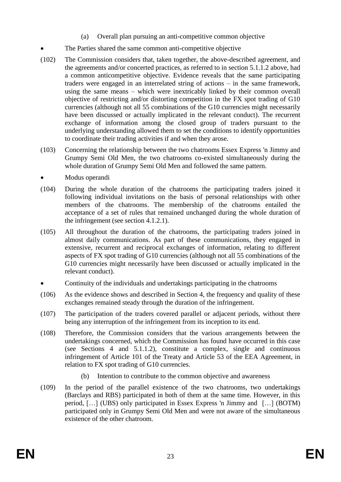- (a) Overall plan pursuing an anti-competitive common objective
- The Parties shared the same common anti-competitive objective
- (102) The Commission considers that, taken together, the above-described agreement, and the agreements and/or concerted practices, as referred to in section [5.1.1.2](#page-17-0) above, had a common anticompetitive objective. Evidence reveals that the same participating traders were engaged in an interrelated string of actions – in the same framework, using the same means – which were inextricably linked by their common overall objective of restricting and/or distorting competition in the FX spot trading of G10 currencies (although not all 55 combinations of the G10 currencies might necessarily have been discussed or actually implicated in the relevant conduct). The recurrent exchange of information among the closed group of traders pursuant to the underlying understanding allowed them to set the conditions to identify opportunities to coordinate their trading activities if and when they arose.
- (103) Concerning the relationship between the two chatrooms Essex Express 'n Jimmy and Grumpy Semi Old Men, the two chatrooms co-existed simultaneously during the whole duration of Grumpy Semi Old Men and followed the same pattern.
- Modus operandi
- (104) During the whole duration of the chatrooms the participating traders joined it following individual invitations on the basis of personal relationships with other members of the chatrooms. The membership of the chatrooms entailed the acceptance of a set of rules that remained unchanged during the whole duration of the infringement (see section [4.1.2.1\)](#page-10-1).
- (105) All throughout the duration of the chatrooms, the participating traders joined in almost daily communications. As part of these communications, they engaged in extensive, recurrent and reciprocal exchanges of information, relating to different aspects of FX spot trading of G10 currencies (although not all 55 combinations of the G10 currencies might necessarily have been discussed or actually implicated in the relevant conduct).
- Continuity of the individuals and undertakings participating in the chatrooms
- (106) As the evidence shows and described in Section [4,](#page-9-0) the frequency and quality of these exchanges remained steady through the duration of the infringement.
- (107) The participation of the traders covered parallel or adjacent periods, without there being any interruption of the infringement from its inception to its end.
- (108) Therefore, the Commission considers that the various arrangements between the undertakings concerned, which the Commission has found have occurred in this case (see Sections [4](#page-9-0) and [5.1.1.2\)](#page-17-0), constitute a complex, single and continuous infringement of Article 101 of the Treaty and Article 53 of the EEA Agreement, in relation to FX spot trading of G10 currencies.
	- (b) Intention to contribute to the common objective and awareness
- (109) In the period of the parallel existence of the two chatrooms, two undertakings (Barclays and RBS) participated in both of them at the same time. However, in this period, […] (UBS) only participated in Essex Express 'n Jimmy and […] (BOTM) participated only in Grumpy Semi Old Men and were not aware of the simultaneous existence of the other chatroom.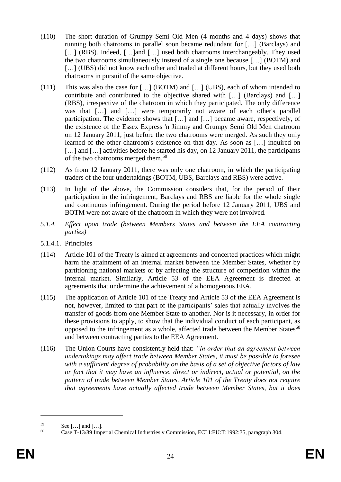- (110) The short duration of Grumpy Semi Old Men (4 months and 4 days) shows that running both chatrooms in parallel soon became redundant for […] (Barclays) and [...] (RBS). Indeed, [...] and [...] used both chatrooms interchangeably. They used the two chatrooms simultaneously instead of a single one because […] (BOTM) and [...] (UBS) did not know each other and traded at different hours, but they used both chatrooms in pursuit of the same objective.
- (111) This was also the case for […] (BOTM) and […] (UBS), each of whom intended to contribute and contributed to the objective shared with […] (Barclays) and […] (RBS), irrespective of the chatroom in which they participated. The only difference was that [...] and [...] were temporarily not aware of each other's parallel participation. The evidence shows that […] and […] became aware, respectively, of the existence of the Essex Express 'n Jimmy and Grumpy Semi Old Men chatroom on 12 January 2011, just before the two chatrooms were merged. As such they only learned of the other chatroom's existence on that day. As soon as […] inquired on [...] and [...] activities before he started his day, on 12 January 2011, the participants of the two chatrooms merged them.<sup>59</sup>
- (112) As from 12 January 2011, there was only one chatroom, in which the participating traders of the four undertakings (BOTM, UBS, Barclays and RBS) were active.
- (113) In light of the above, the Commission considers that, for the period of their participation in the infringement, Barclays and RBS are liable for the whole single and continuous infringement. During the period before 12 January 2011, UBS and BOTM were not aware of the chatroom in which they were not involved.
- *5.1.4. Effect upon trade (between Members States and between the EEA contracting parties)*
- 5.1.4.1. Principles
- (114) Article 101 of the Treaty is aimed at agreements and concerted practices which might harm the attainment of an internal market between the Member States, whether by partitioning national markets or by affecting the structure of competition within the internal market. Similarly, Article 53 of the EEA Agreement is directed at agreements that undermine the achievement of a homogenous EEA.
- (115) The application of Article 101 of the Treaty and Article 53 of the EEA Agreement is not, however, limited to that part of the participants' sales that actually involves the transfer of goods from one Member State to another. Nor is it necessary, in order for these provisions to apply, to show that the individual conduct of each participant, as opposed to the infringement as a whole, affected trade between the Member States $60$ and between contracting parties to the EEA Agreement.
- (116) The Union Courts have consistently held that: *"in order that an agreement between undertakings may affect trade between Member States, it must be possible to foresee with a sufficient degree of probability on the basis of a set of objective factors of law or fact that it may have an influence, direct or indirect, actual or potential, on the pattern of trade between Member States. Article 101 of the Treaty does not require that agreements have actually affected trade between Member States, but it does*

 $59$  See [...] and [...].

<sup>60</sup> Case T-13/89 Imperial Chemical Industries v Commission, ECLI:EU:T:1992:35, paragraph 304.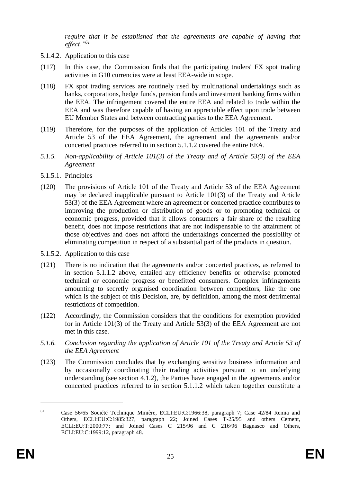*require that it be established that the agreements are capable of having that effect."<sup>61</sup>*

- 5.1.4.2. Application to this case
- (117) In this case, the Commission finds that the participating traders' FX spot trading activities in G10 currencies were at least EEA-wide in scope.
- (118) FX spot trading services are routinely used by multinational undertakings such as banks, corporations, hedge funds, pension funds and investment banking firms within the EEA. The infringement covered the entire EEA and related to trade within the EEA and was therefore capable of having an appreciable effect upon trade between EU Member States and between contracting parties to the EEA Agreement.
- (119) Therefore, for the purposes of the application of Articles 101 of the Treaty and Article 53 of the EEA Agreement, the agreement and the agreements and/or concerted practices referred to in section 5.1.1.2 covered the entire EEA.
- *5.1.5. Non-applicability of Article 101(3) of the Treaty and of Article 53(3) of the EEA Agreement*
- 5.1.5.1. Principles
- (120) The provisions of Article 101 of the Treaty and Article 53 of the EEA Agreement may be declared inapplicable pursuant to Article 101(3) of the Treaty and Article 53(3) of the EEA Agreement where an agreement or concerted practice contributes to improving the production or distribution of goods or to promoting technical or economic progress, provided that it allows consumers a fair share of the resulting benefit, does not impose restrictions that are not indispensable to the attainment of those objectives and does not afford the undertakings concerned the possibility of eliminating competition in respect of a substantial part of the products in question.
- 5.1.5.2. Application to this case
- (121) There is no indication that the agreements and/or concerted practices, as referred to in section 5.1.1.2 above, entailed any efficiency benefits or otherwise promoted technical or economic progress or benefitted consumers. Complex infringements amounting to secretly organised coordination between competitors, like the one which is the subject of this Decision, are, by definition, among the most detrimental restrictions of competition.
- (122) Accordingly, the Commission considers that the conditions for exemption provided for in Article 101(3) of the Treaty and Article 53(3) of the EEA Agreement are not met in this case.
- *5.1.6. Conclusion regarding the application of Article 101 of the Treaty and Article 53 of the EEA Agreement*
- (123) The Commission concludes that by exchanging sensitive business information and by occasionally coordinating their trading activities pursuant to an underlying understanding (see section 4.1.2), the Parties have engaged in the agreements and/or concerted practices referred to in section 5.1.1.2 which taken together constitute a

<sup>61</sup> Case 56/65 Société Technique Minière, ECLI:EU:C:1966:38, paragraph 7; Case 42/84 Remia and Others, ECLI:EU:C:1985:327, paragraph 22; Joined Cases T-25/95 and others Cement, ECLI:EU:T:2000:77; and Joined Cases C 215/96 and C 216/96 Bagnasco and Others, ECLI:EU:C:1999:12, paragraph 48.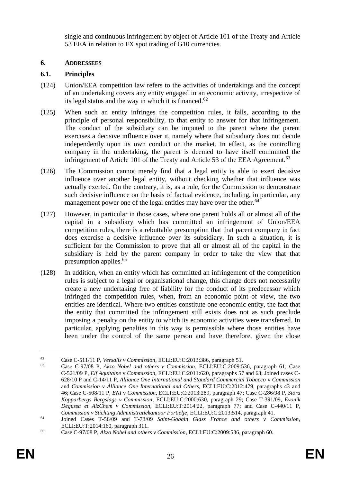single and continuous infringement by object of Article 101 of the Treaty and Article 53 EEA in relation to FX spot trading of G10 currencies.

## <span id="page-26-0"></span>**6. ADDRESSEES**

## **6.1. Principles**

- (124) Union/EEA competition law refers to the activities of undertakings and the concept of an undertaking covers any entity engaged in an economic activity, irrespective of its legal status and the way in which it is financed. $62$
- (125) When such an entity infringes the competition rules, it falls, according to the principle of personal responsibility, to that entity to answer for that infringement. The conduct of the subsidiary can be imputed to the parent where the parent exercises a decisive influence over it, namely where that subsidiary does not decide independently upon its own conduct on the market. In effect, as the controlling company in the undertaking, the parent is deemed to have itself committed the infringement of Article 101 of the Treaty and Article 53 of the EEA Agreement.<sup>63</sup>
- (126) The Commission cannot merely find that a legal entity is able to exert decisive influence over another legal entity, without checking whether that influence was actually exerted. On the contrary, it is, as a rule, for the Commission to demonstrate such decisive influence on the basis of factual evidence, including, in particular, any management power one of the legal entities may have over the other.<sup>64</sup>
- <span id="page-26-1"></span>(127) However, in particular in those cases, where one parent holds all or almost all of the capital in a subsidiary which has committed an infringement of Union/EEA competition rules, there is a rebuttable presumption that that parent company in fact does exercise a decisive influence over its subsidiary. In such a situation, it is sufficient for the Commission to prove that all or almost all of the capital in the subsidiary is held by the parent company in order to take the view that that presumption applies.<sup>65</sup>
- (128) In addition, when an entity which has committed an infringement of the competition rules is subject to a legal or organisational change, this change does not necessarily create a new undertaking free of liability for the conduct of its predecessor which infringed the competition rules, when, from an economic point of view, the two entities are identical. Where two entities constitute one economic entity, the fact that the entity that committed the infringement still exists does not as such preclude imposing a penalty on the entity to which its economic activities were transferred. In particular, applying penalties in this way is permissible where those entities have been under the control of the same person and have therefore, given the close

<sup>62</sup> Case C-511/11 P, *Versalis v Commission*, ECLI:EU:C:2013:386, paragraph 51.

<sup>63</sup> Case C-97/08 P, *Akzo Nobel and others v Commission*, ECLI:EU:C:2009:536, paragraph 61; Case C-521/09 P, *Elf Aquitaine* v *Commission*, ECLI:EU:C:2011:620, paragraphs 57 and 63; Joined cases C-628/10 P and C-14/11 P, *Alliance One International and Standard Commercial Tobacco* v *Commission*  and *Commission* v *Alliance One International and Others,* ECLI:EU:C:2012:479, paragraphs 43 and 46; Case C-508/11 P, *ENI* v *Commission*, ECLI:EU:C:2013:289, paragraph 47; Case C-286/98 P, *Stora Kopparbergs Bergslags v Commission*, ECLI:EU:C:2000:630, paragraph 29; Case T-391/09, *Evonik Degussa et AlzChem v Commission*, ECLI:EU:T:2014:22, paragraph 77; and Case C-440/11 P, *Commission v Stichting Administratiekantoor Portielje*, ECLI:EU:C:2013:514, paragraph 41.

<sup>64</sup> Joined Cases T-56/09 and T-73/09 *Saint-Gobain Glass France and others v Commission*, ECLI:EU:T:2014:160, paragraph 311.

<sup>65</sup> Case C-97/08 P, *Akzo Nobel and others v Commission*, ECLI:EU:C:2009:536, paragraph 60.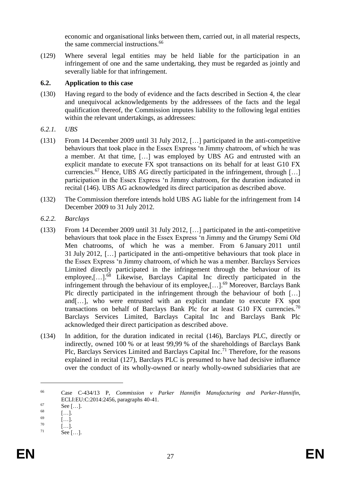economic and organisational links between them, carried out, in all material respects, the same commercial instructions.<sup>66</sup>

(129) Where several legal entities may be held liable for the participation in an infringement of one and the same undertaking, they must be regarded as jointly and severally liable for that infringement.

## <span id="page-27-0"></span>**6.2. Application to this case**

- (130) Having regard to the body of evidence and the facts described in Section 4, the clear and unequivocal acknowledgements by the addressees of the facts and the legal qualification thereof, the Commission imputes liability to the following legal entities within the relevant undertakings, as addressees:
- *6.2.1. UBS*
- (131) From 14 December 2009 until 31 July 2012, […] participated in the anti-competitive behaviours that took place in the Essex Express 'n Jimmy chatroom, of which he was a member. At that time, […] was employed by UBS AG and entrusted with an explicit mandate to execute FX spot transactions on its behalf for at least G10 FX currencies.<sup>67</sup> Hence, UBS AG directly participated in the infringement, through [...] participation in the Essex Express 'n Jimmy chatroom, for the duration indicated in recital [\(146\).](#page-30-1) UBS AG acknowledged its direct participation as described above.
- (132) The Commission therefore intends hold UBS AG liable for the infringement from 14 December 2009 to 31 July 2012.
- *6.2.2. Barclays*
- (133) From 14 December 2009 until 31 July 2012, […] participated in the anti-competitive behaviours that took place in the Essex Express 'n Jimmy and the Grumpy Semi Old Men chatrooms, of which he was a member. From 6 January 2011 until 31 July 2012, […] participated in the anti-ompetitive behaviours that took place in the Essex Express 'n Jimmy chatroom, of which he was a member. Barclays Services Limited directly participated in the infringement through the behaviour of its employee,[...].<sup>68</sup> Likewise, Barclays Capital Inc directly participated in the infringement through the behaviour of its employee, [...].<sup>69</sup> Moreover, Barclays Bank Plc directly participated in the infringement through the behaviour of both […] and[…], who were entrusted with an explicit mandate to execute FX spot transactions on behalf of Barclays Bank Plc for at least G10 FX currencies.<sup>70</sup> Barclays Services Limited, Barclays Capital Inc and Barclays Bank Plc acknowledged their direct participation as described above.
- (134) In addition, for the duration indicated in recital [\(146\),](#page-30-1) Barclays PLC, directly or indirectly, owned 100 % or at least 99,99 % of the shareholdings of Barclays Bank Plc, Barclays Services Limited and Barclays Capital Inc.<sup>71</sup> Therefore, for the reasons explained in recital [\(127\),](#page-26-1) Barclays PLC is presumed to have had decisive influence over the conduct of its wholly-owned or nearly wholly-owned subsidiaries that are

<sup>66</sup> Case C-434/13 P, *Commission v Parker Hannifin Manufacturing and Parker-Hannifin*, ECLI:EU:C:2014:2456, paragraphs 40-41.

 $67$  See [...].

 $\begin{bmatrix} 68 \\ 69 \end{bmatrix}$  [...].

 $\begin{bmatrix} 69 \\ 70 \end{bmatrix}$  [...].

 $\begin{bmatrix} 70 \\ 71 \end{bmatrix}$  [...].

See  $[\dots]$ .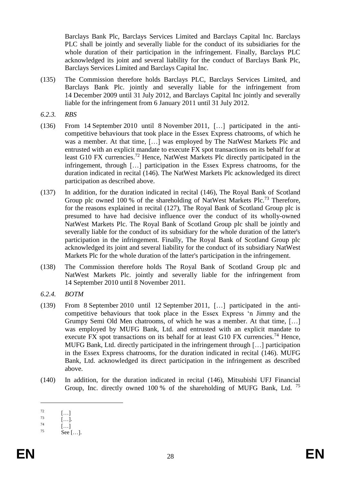Barclays Bank Plc, Barclays Services Limited and Barclays Capital Inc. Barclays PLC shall be jointly and severally liable for the conduct of its subsidiaries for the whole duration of their participation in the infringement. Finally, Barclays PLC acknowledged its joint and several liability for the conduct of Barclays Bank Plc, Barclays Services Limited and Barclays Capital Inc.

- (135) The Commission therefore holds Barclays PLC, Barclays Services Limited, and Barclays Bank Plc. jointly and severally liable for the infringement from 14 December 2009 until 31 July 2012, and Barclays Capital Inc jointly and severally liable for the infringement from 6 January 2011 until 31 July 2012.
- *6.2.3. RBS*
- (136) From 14 September 2010 until 8 November 2011, […] participated in the anticompetitive behaviours that took place in the Essex Express chatrooms, of which he was a member. At that time, […] was employed by The NatWest Markets Plc and entrusted with an explicit mandate to execute FX spot transactions on its behalf for at least G10 FX currencies.<sup>72</sup> Hence, NatWest Markets Plc directly participated in the infringement, through […] participation in the Essex Express chatrooms, for the duration indicated in recital [\(146\).](#page-30-1) The NatWest Markets Plc acknowledged its direct participation as described above.
- (137) In addition, for the duration indicated in recital [\(146\),](#page-30-1) The Royal Bank of Scotland Group plc owned 100 % of the shareholding of NatWest Markets Plc.<sup>73</sup> Therefore, for the reasons explained in recital [\(127\),](#page-26-1) The Royal Bank of Scotland Group plc is presumed to have had decisive influence over the conduct of its wholly-owned NatWest Markets Plc. The Royal Bank of Scotland Group plc shall be jointly and severally liable for the conduct of its subsidiary for the whole duration of the latter's participation in the infringement. Finally, The Royal Bank of Scotland Group plc acknowledged its joint and several liability for the conduct of its subsidiary NatWest Markets Plc for the whole duration of the latter's participation in the infringement.
- (138) The Commission therefore holds The Royal Bank of Scotland Group plc and NatWest Markets Plc. jointly and severally liable for the infringement from 14 September 2010 until 8 November 2011.
- *6.2.4. BOTM*
- (139) From 8 September 2010 until 12 September 2011, […] participated in the anticompetitive behaviours that took place in the Essex Express 'n Jimmy and the Grumpy Semi Old Men chatrooms, of which he was a member. At that time, […] was employed by MUFG Bank, Ltd. and entrusted with an explicit mandate to execute FX spot transactions on its behalf for at least G10 FX currencies.<sup>74</sup> Hence, MUFG Bank, Ltd. directly participated in the infringement through […] participation in the Essex Express chatrooms, for the duration indicated in recital [\(146\).](#page-30-1) MUFG Bank, Ltd. acknowledged its direct participation in the infringement as described above.
- (140) In addition, for the duration indicated in recital [\(146\),](#page-30-1) Mitsubishi UFJ Financial Group, Inc. directly owned 100 % of the shareholding of MUFG Bank, Ltd. <sup>75</sup>

 $\begin{bmatrix} 72 \\ 73 \end{bmatrix}$   $\begin{bmatrix} \ldots \\ \ldots \end{bmatrix}$ 

 $\frac{73}{74}$  [...].

 $\begin{bmatrix} 74 \\ 75 \end{bmatrix}$  [...]

See  $[...]$ .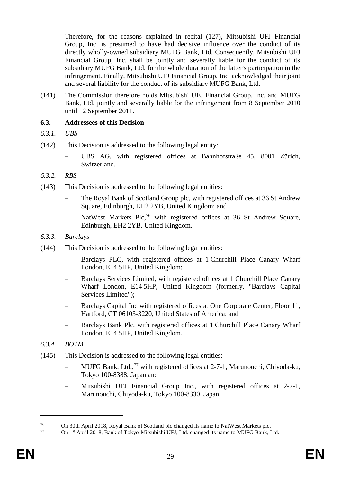Therefore, for the reasons explained in recital [\(127\),](#page-26-1) Mitsubishi UFJ Financial Group, Inc. is presumed to have had decisive influence over the conduct of its directly wholly-owned subsidiary MUFG Bank, Ltd. Consequently, Mitsubishi UFJ Financial Group, Inc. shall be jointly and severally liable for the conduct of its subsidiary MUFG Bank, Ltd. for the whole duration of the latter's participation in the infringement. Finally, Mitsubishi UFJ Financial Group, Inc. acknowledged their joint and several liability for the conduct of its subsidiary MUFG Bank, Ltd.

(141) The Commission therefore holds Mitsubishi UFJ Financial Group, Inc. and MUFG Bank, Ltd. jointly and severally liable for the infringement from 8 September 2010 until 12 September 2011.

#### **6.3. Addressees of this Decision**

- *6.3.1. UBS*
- (142) This Decision is addressed to the following legal entity:
	- UBS AG, with registered offices at Bahnhofstraße 45, 8001 Zürich, Switzerland.
- *6.3.2. RBS*
- (143) This Decision is addressed to the following legal entities:
	- The Royal Bank of Scotland Group plc, with registered offices at 36 St Andrew Square, Edinburgh, EH2 2YB, United Kingdom; and
	- NatWest Markets Plc,<sup>76</sup> with registered offices at 36 St Andrew Square, Edinburgh, EH2 2YB, United Kingdom.
- *6.3.3. Barclays*
- (144) This Decision is addressed to the following legal entities:
	- Barclays PLC, with registered offices at 1 Churchill Place Canary Wharf London, E14 5HP, United Kingdom;
	- Barclays Services Limited, with registered offices at 1 Churchill Place Canary Wharf London, E14 5HP, United Kingdom (formerly, "Barclays Capital Services Limited");
	- Barclays Capital Inc with registered offices at One Corporate Center, Floor 11, Hartford, CT 06103-3220, United States of America; and
	- Barclays Bank Plc, with registered offices at 1 Churchill Place Canary Wharf London, E14 5HP, United Kingdom.
- *6.3.4. BOTM*
- (145) This Decision is addressed to the following legal entities:
	- MUFG Bank, Ltd.,<sup>77</sup> with registered offices at 2-7-1, Marunouchi, Chiyoda-ku, Tokyo 100-8388, Japan and
	- Mitsubishi UFJ Financial Group Inc., with registered offices at 2-7-1, Marunouchi, Chiyoda-ku, Tokyo 100-8330, Japan.

<sup>76</sup> On 30th April 2018, Royal Bank of Scotland plc changed its name to NatWest Markets plc.

On 1st April 2018, Bank of Tokyo-Mitsubishi UFJ, Ltd. changed its name to MUFG Bank, Ltd.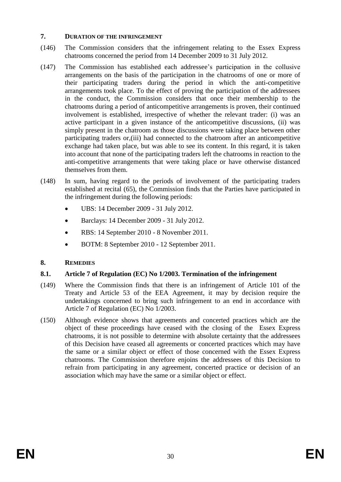## **7. DURATION OF THE INFRINGEMENT**

- <span id="page-30-1"></span>(146) The Commission considers that the infringement relating to the Essex Express chatrooms concerned the period from 14 December 2009 to 31 July 2012.
- <span id="page-30-0"></span>(147) The Commission has established each addressee's participation in the collusive arrangements on the basis of the participation in the chatrooms of one or more of their participating traders during the period in which the anti-competitive arrangements took place. To the effect of proving the participation of the addressees in the conduct, the Commission considers that once their membership to the chatrooms during a period of anticompetitive arrangements is proven, their continued involvement is established, irrespective of whether the relevant trader: (i) was an active participant in a given instance of the anticompetitive discussions, (ii) was simply present in the chatroom as those discussions were taking place between other participating traders or,(iii) had connected to the chatroom after an anticompetitive exchange had taken place, but was able to see its content. In this regard, it is taken into account that none of the participating traders left the chatrooms in reaction to the anti-competitive arrangements that were taking place or have otherwise distanced themselves from them.
- (148) In sum, having regard to the periods of involvement of the participating traders established at recital [\(65\),](#page-14-2) the Commission finds that the Parties have participated in the infringement during the following periods:
	- UBS: 14 December 2009 31 July 2012.
	- Barclays: 14 December 2009 31 July 2012.
	- RBS: 14 September 2010 8 November 2011.
	- BOTM: 8 September 2010 12 September 2011.

# **8. REMEDIES**

# **8.1. Article 7 of Regulation (EC) No 1/2003. Termination of the infringement**

- (149) Where the Commission finds that there is an infringement of Article 101 of the Treaty and Article 53 of the EEA Agreement, it may by decision require the undertakings concerned to bring such infringement to an end in accordance with Article 7 of Regulation (EC) No 1/2003.
- (150) Although evidence shows that agreements and concerted practices which are the object of these proceedings have ceased with the closing of the Essex Express chatrooms, it is not possible to determine with absolute certainty that the addressees of this Decision have ceased all agreements or concerted practices which may have the same or a similar object or effect of those concerned with the Essex Express chatrooms. The Commission therefore enjoins the addressees of this Decision to refrain from participating in any agreement, concerted practice or decision of an association which may have the same or a similar object or effect.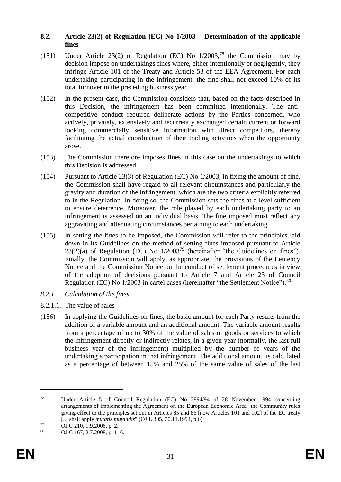#### **8.2. Article 23(2) of Regulation (EC) No 1/2003 – Determination of the applicable fines**

- (151) Under Article 23(2) of Regulation (EC) No  $1/2003$ ,<sup>78</sup> the Commission may by decision impose on undertakings fines where, either intentionally or negligently, they infringe Article 101 of the Treaty and Article 53 of the EEA Agreement. For each undertaking participating in the infringement, the fine shall not exceed 10% of its total turnover in the preceding business year.
- (152) In the present case, the Commission considers that, based on the facts described in this Decision, the infringement has been committed intentionally. The anticompetitive conduct required deliberate actions by the Parties concerned, who actively, privately, extensively and recurrently exchanged certain current or forward looking commercially sensitive information with direct competitors, thereby facilitating the actual coordination of their trading activities when the opportunity arose.
- (153) The Commission therefore imposes fines in this case on the undertakings to which this Decision is addressed.
- (154) Pursuant to Article 23(3) of Regulation (EC) No 1/2003, in fixing the amount of fine, the Commission shall have regard to all relevant circumstances and particularly the gravity and duration of the infringement, which are the two criteria explicitly referred to in the Regulation. In doing so, the Commission sets the fines at a level sufficient to ensure deterrence. Moreover, the role played by each undertaking party to an infringement is assessed on an individual basis. The fine imposed must reflect any aggravating and attenuating circumstances pertaining to each undertaking.
- (155) In setting the fines to be imposed, the Commission will refer to the principles laid down in its Guidelines on the method of setting fines imposed pursuant to Article  $23(2)(a)$  of Regulation (EC) No  $1/2003^{79}$  (hereinafter "the Guidelines on fines"). Finally, the Commission will apply, as appropriate, the provisions of the Leniency Notice and the Commission Notice on the conduct of settlement procedures in view of the adoption of decisions pursuant to Article 7 and Article 23 of Council Regulation (EC) No 1/2003 in cartel cases (hereinafter "the Settlement Notice").<sup>80</sup>
- *8.2.1. Calculation of the fines*
- 8.2.1.1. The value of sales
- (156) In applying the Guidelines on fines, the basic amount for each Party results from the addition of a variable amount and an additional amount. The variable amount results from a percentage of up to 30% of the value of sales of goods or services to which the infringement directly or indirectly relates, in a given year (normally, the last full business year of the infringement) multiplied by the number of years of the undertaking's participation in that infringement. The additional amount is calculated as a percentage of between 15% and 25% of the same value of sales of the last

<sup>78</sup> Under Article 5 of Council Regulation (EC) No 2894/94 of 28 November 1994 concerning arrangements of implementing the Agreement on the European Economic Area "the Community rules giving effect to the principles set out in Articles 85 and 86 [now Articles 101 and 102] of the EC treaty [..] shall apply *mutatis mutandis*" (OJ L 305, 30.11.1994, p.6).

 $^{79}$  OJ C 210, 1.9.2006, p. 2.

OJ C 167, 2.7.2008, p. 1–6.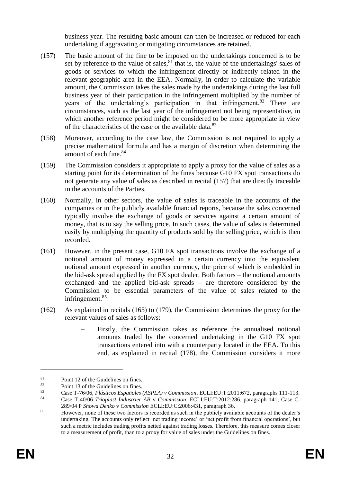business year. The resulting basic amount can then be increased or reduced for each undertaking if aggravating or mitigating circumstances are retained.

- <span id="page-32-0"></span>(157) The basic amount of the fine to be imposed on the undertakings concerned is to be set by reference to the value of sales, $81$  that is, the value of the undertakings' sales of goods or services to which the infringement directly or indirectly related in the relevant geographic area in the EEA. Normally, in order to calculate the variable amount, the Commission takes the sales made by the undertakings during the last full business year of their participation in the infringement multiplied by the number of years of the undertaking's participation in that infringement.<sup>82</sup> There are circumstances, such as the last year of the infringement not being representative, in which another reference period might be considered to be more appropriate in view of the characteristics of the case or the available data.<sup>83</sup>
- (158) Moreover, according to the case law, the Commission is not required to apply a precise mathematical formula and has a margin of discretion when determining the amount of each fine.<sup>84</sup>
- (159) The Commission considers it appropriate to apply a proxy for the value of sales as a starting point for its determination of the fines because G10 FX spot transactions do not generate any value of sales as described in recital [\(157\)](#page-32-0) that are directly traceable in the accounts of the Parties.
- (160) Normally, in other sectors, the value of sales is traceable in the accounts of the companies or in the publicly available financial reports, because the sales concerned typically involve the exchange of goods or services against a certain amount of money, that is to say the selling price. In such cases, the value of sales is determined easily by multiplying the quantity of products sold by the selling price, which is then recorded.
- (161) However, in the present case, G10 FX spot transactions involve the exchange of a notional amount of money expressed in a certain currency into the equivalent notional amount expressed in another currency, the price of which is embedded in the bid-ask spread applied by the FX spot dealer. Both factors – the notional amounts exchanged and the applied bid-ask spreads – are therefore considered by the Commission to be essential parameters of the value of sales related to the infringement.<sup>85</sup>
- (162) As explained in recitals [\(165\)](#page-33-0) to [\(179\),](#page-36-0) the Commission determines the proxy for the relevant values of sales as follows:
	- Firstly, the Commission takes as reference the annualised notional amounts traded by the concerned undertaking in the G10 FX spot transactions entered into with a counterparty located in the EEA. To this end, as explained in recital [\(178\),](#page-36-1) the Commission considers it more

 $\frac{81}{82}$  Point 12 of the Guidelines on fines.

<sup>&</sup>lt;sup>82</sup> Point 13 of the Guidelines on fines.<br><sup>83</sup> Case T. 76.06, *D*. *Attices* Executed

<sup>83</sup> Case T-76/06, *Plásticos Españoles (ASPLA) v Commission*, ECLI:EU:T:2011:672, paragraphs 111-113.

<sup>84</sup> Case T-40/06 *Trioplast Industrier AB* v *Commission*, ECLI:EU:T:2012:286, paragraph 141; Case C-

<sup>289/04</sup> P *Showa Denko* v *Commission* ECLI:EU:C:2006:431, paragraph 36.

<sup>&</sup>lt;sup>85</sup> However, none of these two factors is recorded as such in the publicly available accounts of the dealer's undertaking. The accounts only reflect 'net trading income' or 'net profit from financial operations', but such a metric includes trading profits netted against trading losses. Therefore, this measure comes closer to a measurement of profit, than to a proxy for value of sales under the Guidelines on fines.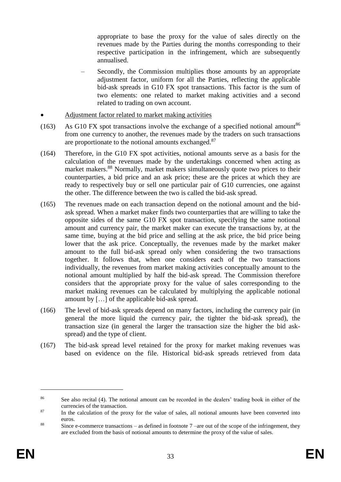appropriate to base the proxy for the value of sales directly on the revenues made by the Parties during the months corresponding to their respective participation in the infringement, which are subsequently annualised.

- Secondly, the Commission multiplies those amounts by an appropriate adjustment factor, uniform for all the Parties, reflecting the applicable bid-ask spreads in G10 FX spot transactions. This factor is the sum of two elements: one related to market making activities and a second related to trading on own account.
- Adjustment factor related to market making activities
- (163) As G10 FX spot transactions involve the exchange of a specified notional amount<sup>86</sup> from one currency to another, the revenues made by the traders on such transactions are proportionate to the notional amounts exchanged.<sup>87</sup>
- (164) Therefore, in the G10 FX spot activities, notional amounts serve as a basis for the calculation of the revenues made by the undertakings concerned when acting as market makers.<sup>88</sup> Normally, market makers simultaneously quote two prices to their counterparties, a bid price and an ask price; these are the prices at which they are ready to respectively buy or sell one particular pair of G10 currencies, one against the other. The difference between the two is called the bid-ask spread.
- <span id="page-33-0"></span>(165) The revenues made on each transaction depend on the notional amount and the bidask spread. When a market maker finds two counterparties that are willing to take the opposite sides of the same G10 FX spot transaction, specifying the same notional amount and currency pair, the market maker can execute the transactions by, at the same time, buying at the bid price and selling at the ask price, the bid price being lower that the ask price. Conceptually, the revenues made by the market maker amount to the full bid-ask spread only when considering the two transactions together. It follows that, when one considers each of the two transactions individually, the revenues from market making activities conceptually amount to the notional amount multiplied by half the bid-ask spread. The Commission therefore considers that the appropriate proxy for the value of sales corresponding to the market making revenues can be calculated by multiplying the applicable notional amount by […] of the applicable bid-ask spread.
- (166) The level of bid-ask spreads depend on many factors, including the currency pair (in general the more liquid the currency pair, the tighter the bid-ask spread), the transaction size (in general the larger the transaction size the higher the bid askspread) and the type of client.
- (167) The bid-ask spread level retained for the proxy for market making revenues was based on evidence on the file. Historical bid-ask spreads retrieved from data

<sup>&</sup>lt;sup>86</sup> See also recital (4). The notional amount can be recorded in the dealers' trading book in either of the currencies of the transaction.

<sup>&</sup>lt;sup>87</sup> In the calculation of the proxy for the value of sales, all notional amounts have been converted into euros.

<sup>88</sup> Since e-commerce transactions – as defined in footnote  $7$  –are out of the scope of the infringement, they are excluded from the basis of notional amounts to determine the proxy of the value of sales.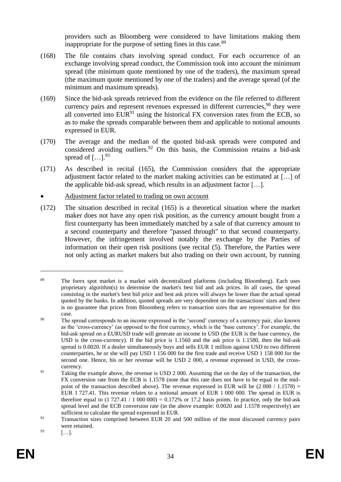providers such as Bloomberg were considered to have limitations making them inappropriate for the purpose of setting fines in this case.<sup>89</sup>

- (168) The file contains chats involving spread conduct. For each occurrence of an exchange involving spread conduct, the Commission took into account the minimum spread (the minimum quote mentioned by one of the traders), the maximum spread (the maximum quote mentioned by one of the traders) and the average spread (of the minimum and maximum spreads).
- (169) Since the bid-ask spreads retrieved from the evidence on the file referred to different currency pairs and represent revenues expressed in different currencies,  $90$  they were all converted into  $EUR<sup>91</sup>$  using the historical FX conversion rates from the ECB, so as to make the spreads comparable between them and applicable to notional amounts expressed in EUR.
- (170) The average and the median of the quoted bid-ask spreads were computed and considered avoiding outliers.<sup>92</sup> On this basis, the Commission retains a bid-ask spread of  $[...]^{93}$
- (171) As described in recital [\(165\),](#page-33-0) the Commission considers that the appropriate adjustment factor related to the market making activities can be estimated at […] of the applicable bid-ask spread, which results in an adjustment factor […].
- Adjustment factor related to trading on own account
- (172) The situation described in recital [\(165\)](#page-33-0) is a theoretical situation where the market maker does not have any open risk position, as the currency amount bought from a first counterparty has been immediately matched by a sale of that currency amount to a second counterparty and therefore "passed through" to that second counterparty. However, the infringement involved notably the exchange by the Parties of information on their open risk positions (see recital [\(5\).](#page-5-0) Therefore, the Parties were not only acting as market makers but also trading on their own account, by running

<sup>&</sup>lt;sup>89</sup> The forex spot market is a market with decentralized platforms (including Bloomberg). Each uses proprietary algorithm(s) to determine the market's best bid and ask prices. In all cases, the spread consisting in the market's best bid price and best ask prices will always be lower than the actual spread quoted by the banks. In addition, quoted spreads are very dependent on the transactions' sizes and there is no guarantee that prices from Bloomberg refers to transaction sizes that are representative for this case.

<sup>&</sup>lt;sup>90</sup> The spread corresponds to an income expressed in the 'second' currency of a currency pair, also known as the 'cross-currency' (as opposed to the first currency, which is the 'base currency'. For example, the bid-ask spread on a EURUSD trade will generate an income in USD (the EUR is the base currency, the USD is the cross-currency). If the bid price is 1.1560 and the ask price is 1.1580, then the bid-ask spread is 0.0020. If a dealer simultaneously buys and sells EUR 1 million against USD to two different counterparties, he or she will pay USD 1 156 000 for the first trade and receive USD 1 158 000 for the second one. Hence, his or her revenue will be USD 2 000, a revenue expressed in USD, the crosscurrency.

<sup>&</sup>lt;sup>91</sup> Taking the example above, the revenue is USD 2 000. Assuming that on the day of the transaction, the FX conversion rate from the ECB is 1.1578 (note that this rate does not have to be equal to the midpoint of the transaction described above). The revenue expressed in EUR will be  $(2\ 000 / 1.1578)$  = EUR 1 727.41. This revenue relates to a notional amount of EUR 1 000 000. The spread in EUR is therefore equal to  $(1 727.41 / 1 000 000) = 0.172%$  or 17.2 basis points. In practice, only the bid-ask spread level and the ECB conversion rate (in the above example: 0.0020 and 1.1578 respectively) are sufficient to calculate the spread expressed in EUR.

<sup>&</sup>lt;sup>92</sup> Transaction sizes comprised between EUR 20 and 500 million of the most discussed currency pairs were retained.

 $93$  [...].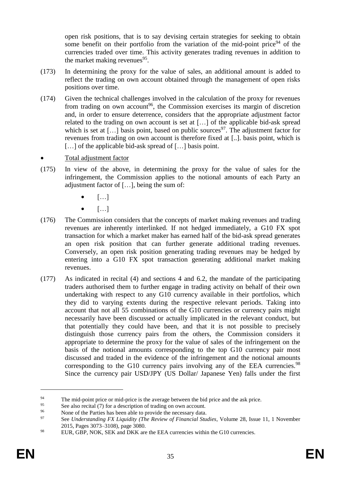open risk positions, that is to say devising certain strategies for seeking to obtain some benefit on their portfolio from the variation of the mid-point price  $94$  of the currencies traded over time. This activity generates trading revenues in addition to the market making revenues<sup>95</sup>.

- (173) In determining the proxy for the value of sales, an additional amount is added to reflect the trading on own account obtained through the management of open risks positions over time.
- (174) Given the technical challenges involved in the calculation of the proxy for revenues from trading on own account<sup>96</sup>, the Commission exercises its margin of discretion and, in order to ensure deterrence, considers that the appropriate adjustment factor related to the trading on own account is set at […] of the applicable bid-ask spread which is set at  $[\dots]$  basis point, based on public sources<sup>97</sup>. The adjustment factor for revenues from trading on own account is therefore fixed at [..]. basis point, which is [...] of the applicable bid-ask spread of [...] basis point.
- Total adjustment factor
- (175) In view of the above, in determining the proxy for the value of sales for the infringement, the Commission applies to the notional amounts of each Party an adjustment factor of […], being the sum of:
	- $\bullet$  [...]
	- $\bullet$  [...]
- (176) The Commission considers that the concepts of market making revenues and trading revenues are inherently interlinked. If not hedged immediately, a G10 FX spot transaction for which a market maker has earned half of the bid-ask spread generates an open risk position that can further generate additional trading revenues. Conversely, an open risk position generating trading revenues may be hedged by entering into a G10 FX spot transaction generating additional market making revenues.
- (177) As indicated in recital [\(4\)](#page-4-0) and sections [4](#page-9-0) and [6.2,](#page-27-0) the mandate of the participating traders authorised them to further engage in trading activity on behalf of their own undertaking with respect to any G10 currency available in their portfolios, which they did to varying extents during the respective relevant periods. Taking into account that not all 55 combinations of the G10 currencies or currency pairs might necessarily have been discussed or actually implicated in the relevant conduct, but that potentially they could have been, and that it is not possible to precisely distinguish those currency pairs from the others, the Commission considers it appropriate to determine the proxy for the value of sales of the infringement on the basis of the notional amounts corresponding to the top G10 currency pair most discussed and traded in the evidence of the infringement and the notional amounts corresponding to the G10 currency pairs involving any of the EEA currencies.<sup>98</sup> Since the currency pair USD/JPY (US Dollar/ Japanese Yen) falls under the first

<sup>&</sup>lt;sup>94</sup><br>The mid-point price or mid-price is the average between the bid price and the ask price.<br>See also recital  $(7)$  for a description of trading on own account

<sup>&</sup>lt;sup>95</sup> See also recital  $(7)$  for a description of trading on own account.

<sup>&</sup>lt;sup>96</sup> None of the Parties has been able to provide the necessary data.<br><sup>97</sup> See *Understanding EX Liquidity (The Payian of Financial Stu* 

<sup>97</sup> See *Understanding FX Liquidity (The Review of Financial Studies*, Volume 28, Issue 11, 1 November 2015, Pages 3073–3108), page 3080.

<sup>&</sup>lt;sup>98</sup> EUR, GBP, NOK, SEK and DKK are the EEA currencies within the G10 currencies.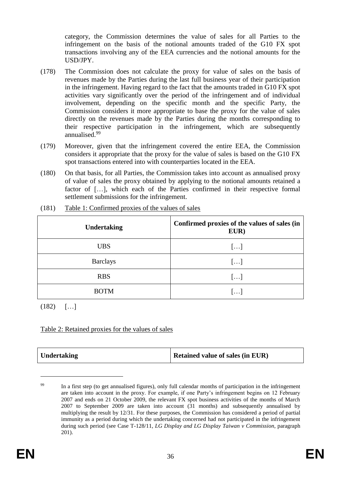category, the Commission determines the value of sales for all Parties to the infringement on the basis of the notional amounts traded of the G10 FX spot transactions involving any of the EEA currencies and the notional amounts for the USD/JPY.

- <span id="page-36-1"></span>(178) The Commission does not calculate the proxy for value of sales on the basis of revenues made by the Parties during the last full business year of their participation in the infringement. Having regard to the fact that the amounts traded in G10 FX spot activities vary significantly over the period of the infringement and of individual involvement, depending on the specific month and the specific Party, the Commission considers it more appropriate to base the proxy for the value of sales directly on the revenues made by the Parties during the months corresponding to their respective participation in the infringement, which are subsequently annualised.<sup>99</sup>
- <span id="page-36-0"></span>(179) Moreover, given that the infringement covered the entire EEA, the Commission considers it appropriate that the proxy for the value of sales is based on the G10 FX spot transactions entered into with counterparties located in the EEA.
- (180) On that basis, for all Parties, the Commission takes into account as annualised proxy of value of sales the proxy obtained by applying to the notional amounts retained a factor of […], which each of the Parties confirmed in their respective formal settlement submissions for the infringement.

| <b>Undertaking</b> | Confirmed proxies of the values of sales (in<br>EUR) |
|--------------------|------------------------------------------------------|
| <b>UBS</b>         | []                                                   |
| <b>Barclays</b>    | []                                                   |
| <b>RBS</b>         | $\left[\ldots\right]$                                |
| <b>BOTM</b>        | $[\ldots]$                                           |

(181) Table 1: Confirmed proxies of the values of sales

 $(182)$   $[...]$ 

## Table 2: Retained proxies for the values of sales

| Undertaking | <b>Retained value of sales (in EUR)</b> |
|-------------|-----------------------------------------|
|-------------|-----------------------------------------|

<sup>&</sup>lt;sup>99</sup> In a first step (to get annualised figures), only full calendar months of participation in the infringement are taken into account in the proxy. For example, if one Party's infringement begins on 12 February 2007 and ends on 21 October 2009, the relevant FX spot business activities of the months of March 2007 to September 2009 are taken into account (31 months) and subsequently annualised by multiplying the result by 12/31. For these purposes, the Commission has considered a period of partial immunity as a period during which the undertaking concerned had not participated in the infringement during such period (see Case T-128/11, *LG Display and LG Display Taiwan v Commission*, paragraph 201).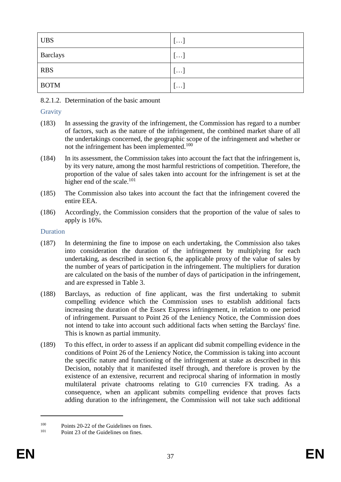| <b>UBS</b>  | $\lfloor \cdots \rfloor$ |
|-------------|--------------------------|
| Barclays    | $\lfloor \cdots \rfloor$ |
| <b>RBS</b>  | $\lfloor \cdots \rfloor$ |
| <b>BOTM</b> | $\mathbf{1}$             |

8.2.1.2. Determination of the basic amount

## **Gravity**

- (183) In assessing the gravity of the infringement, the Commission has regard to a number of factors, such as the nature of the infringement, the combined market share of all the undertakings concerned, the geographic scope of the infringement and whether or not the infringement has been implemented.<sup>100</sup>
- (184) In its assessment, the Commission takes into account the fact that the infringement is, by its very nature, among the most harmful restrictions of competition. Therefore, the proportion of the value of sales taken into account for the infringement is set at the higher end of the scale.<sup>101</sup>
- (185) The Commission also takes into account the fact that the infringement covered the entire EEA.
- (186) Accordingly, the Commission considers that the proportion of the value of sales to apply is 16%.

### Duration

- (187) In determining the fine to impose on each undertaking, the Commission also takes into consideration the duration of the infringement by multiplying for each undertaking, as described in section [6,](#page-26-0) the applicable proxy of the value of sales by the number of years of participation in the infringement. The multipliers for duration are calculated on the basis of the number of days of participation in the infringement, and are expressed in Table 3.
- (188) Barclays, as reduction of fine applicant, was the first undertaking to submit compelling evidence which the Commission uses to establish additional facts increasing the duration of the Essex Express infringement, in relation to one period of infringement. Pursuant to Point 26 of the Leniency Notice, the Commission does not intend to take into account such additional facts when setting the Barclays' fine. This is known as partial immunity.
- (189) To this effect, in order to assess if an applicant did submit compelling evidence in the conditions of Point 26 of the Leniency Notice, the Commission is taking into account the specific nature and functioning of the infringement at stake as described in this Decision, notably that it manifested itself through, and therefore is proven by the existence of an extensive, recurrent and reciprocal sharing of information in mostly multilateral private chatrooms relating to G10 currencies FX trading. As a consequence, when an applicant submits compelling evidence that proves facts adding duration to the infringement, the Commission will not take such additional

<sup>&</sup>lt;sup>100</sup> Points 20-22 of the Guidelines on fines.

Point 23 of the Guidelines on fines.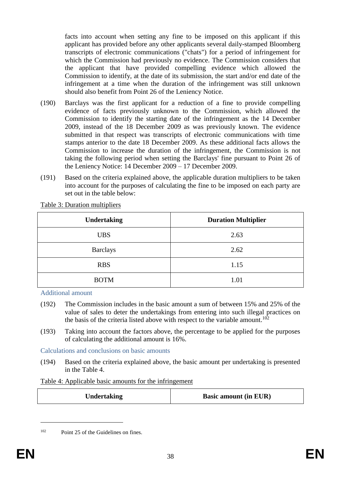facts into account when setting any fine to be imposed on this applicant if this applicant has provided before any other applicants several daily-stamped Bloomberg transcripts of electronic communications ("chats") for a period of infringement for which the Commission had previously no evidence. The Commission considers that the applicant that have provided compelling evidence which allowed the Commission to identify, at the date of its submission, the start and/or end date of the infringement at a time when the duration of the infringement was still unknown should also benefit from Point 26 of the Leniency Notice.

- (190) Barclays was the first applicant for a reduction of a fine to provide compelling evidence of facts previously unknown to the Commission, which allowed the Commission to identify the starting date of the infringement as the 14 December 2009, instead of the 18 December 2009 as was previously known. The evidence submitted in that respect was transcripts of electronic communications with time stamps anterior to the date 18 December 2009. As these additional facts allows the Commission to increase the duration of the infringement, the Commission is not taking the following period when setting the Barclays' fine pursuant to Point 26 of the Leniency Notice: 14 December 2009 – 17 December 2009.
- (191) Based on the criteria explained above, the applicable duration multipliers to be taken into account for the purposes of calculating the fine to be imposed on each party are set out in the table below:

| <b>Undertaking</b> | <b>Duration Multiplier</b> |
|--------------------|----------------------------|
| <b>UBS</b>         | 2.63                       |
| <b>Barclays</b>    | 2.62                       |
| <b>RBS</b>         | 1.15                       |
| <b>BOTM</b>        | 1.01                       |

Table 3: Duration multipliers

Additional amount

- (192) The Commission includes in the basic amount a sum of between 15% and 25% of the value of sales to deter the undertakings from entering into such illegal practices on the basis of the criteria listed above with respect to the variable amount.<sup>102</sup>
- (193) Taking into account the factors above, the percentage to be applied for the purposes of calculating the additional amount is 16%.

Calculations and conclusions on basic amounts

(194) Based on the criteria explained above, the basic amount per undertaking is presented in the Table 4.

#### Table 4: Applicable basic amounts for the infringement

<sup>102</sup> Point 25 of the Guidelines on fines.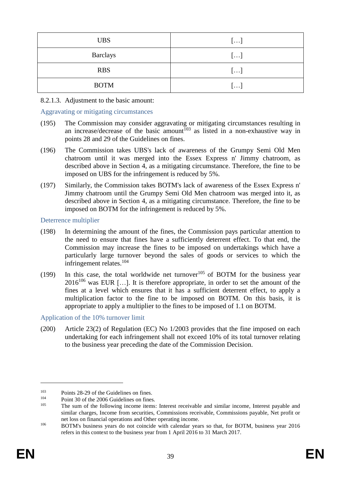| <b>UBS</b>      | []         |
|-----------------|------------|
| <b>Barclays</b> | []         |
| <b>RBS</b>      | []         |
| <b>BOTM</b>     | $[\ldots]$ |

#### 8.2.1.3. Adjustment to the basic amount:

#### Aggravating or mitigating circumstances

- (195) The Commission may consider aggravating or mitigating circumstances resulting in an increase/decrease of the basic amount<sup>103</sup> as listed in a non-exhaustive way in points 28 and 29 of the Guidelines on fines.
- (196) The Commission takes UBS's lack of awareness of the Grumpy Semi Old Men chatroom until it was merged into the Essex Express n' Jimmy chatroom, as described above in Section 4, as a mitigating circumstance. Therefore, the fine to be imposed on UBS for the infringement is reduced by 5%.
- (197) Similarly, the Commission takes BOTM's lack of awareness of the Essex Express n' Jimmy chatroom until the Grumpy Semi Old Men chatroom was merged into it, as described above in Section 4, as a mitigating circumstance. Therefore, the fine to be imposed on BOTM for the infringement is reduced by 5%.

#### Deterrence multiplier

- (198) In determining the amount of the fines, the Commission pays particular attention to the need to ensure that fines have a sufficiently deterrent effect. To that end, the Commission may increase the fines to be imposed on undertakings which have a particularly large turnover beyond the sales of goods or services to which the infringement relates.<sup>104</sup>
- (199) In this case, the total worldwide net turnover<sup>105</sup> of BOTM for the business year  $2016^{106}$  was EUR [...]. It is therefore appropriate, in order to set the amount of the fines at a level which ensures that it has a sufficient deterrent effect, to apply a multiplication factor to the fine to be imposed on BOTM. On this basis, it is appropriate to apply a multiplier to the fines to be imposed of 1.1 on BOTM.

#### Application of the 10% turnover limit

(200) Article 23(2) of Regulation (EC) No 1/2003 provides that the fine imposed on each undertaking for each infringement shall not exceed 10% of its total turnover relating to the business year preceding the date of the Commission Decision.

<sup>&</sup>lt;sup>103</sup> Points 28-29 of the Guidelines on fines.<br><sup>104</sup> Point 20 of the 2006 Guidelines on fines

 $^{104}$  Point 30 of the 2006 Guidelines on fines.<br> $^{105}$  The sum of the following income items

The sum of the following income items: Interest receivable and similar income, Interest payable and similar charges, Income from securities, Commissions receivable, Commissions payable, Net profit or net loss on financial operations and Other operating income.

<sup>&</sup>lt;sup>106</sup> BOTM's business years do not coincide with calendar years so that, for BOTM, business year 2016 refers in this context to the business year from 1 April 2016 to 31 March 2017.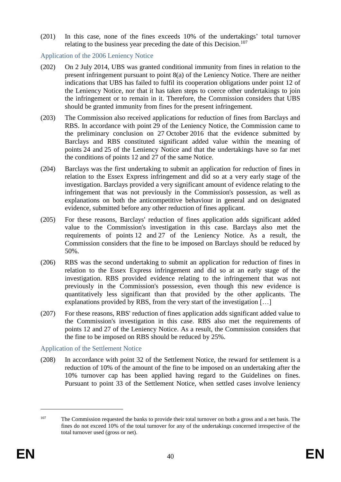(201) In this case, none of the fines exceeds 10% of the undertakings' total turnover relating to the business year preceding the date of this Decision.<sup>107</sup>

Application of the 2006 Leniency Notice

- (202) On 2 July 2014, UBS was granted conditional immunity from fines in relation to the present infringement pursuant to point 8(a) of the Leniency Notice. There are neither indications that UBS has failed to fulfil its cooperation obligations under point 12 of the Leniency Notice, nor that it has taken steps to coerce other undertakings to join the infringement or to remain in it. Therefore, the Commission considers that UBS should be granted immunity from fines for the present infringement.
- (203) The Commission also received applications for reduction of fines from Barclays and RBS. In accordance with point 29 of the Leniency Notice, the Commission came to the preliminary conclusion on 27 October 2016 that the evidence submitted by Barclays and RBS constituted significant added value within the meaning of points 24 and 25 of the Leniency Notice and that the undertakings have so far met the conditions of points 12 and 27 of the same Notice.
- (204) Barclays was the first undertaking to submit an application for reduction of fines in relation to the Essex Express infringement and did so at a very early stage of the investigation. Barclays provided a very significant amount of evidence relating to the infringement that was not previously in the Commission's possession, as well as explanations on both the anticompetitive behaviour in general and on designated evidence, submitted before any other reduction of fines applicant.
- (205) For these reasons, Barclays' reduction of fines application adds significant added value to the Commission's investigation in this case. Barclays also met the requirements of points 12 and 27 of the Leniency Notice. As a result, the Commission considers that the fine to be imposed on Barclays should be reduced by 50%.
- (206) RBS was the second undertaking to submit an application for reduction of fines in relation to the Essex Express infringement and did so at an early stage of the investigation. RBS provided evidence relating to the infringement that was not previously in the Commission's possession, even though this new evidence is quantitatively less significant than that provided by the other applicants. The explanations provided by RBS, from the very start of the investigation […]
- (207) For these reasons, RBS' reduction of fines application adds significant added value to the Commission's investigation in this case. RBS also met the requirements of points 12 and 27 of the Leniency Notice. As a result, the Commission considers that the fine to be imposed on RBS should be reduced by 25%.

Application of the Settlement Notice

(208) In accordance with point 32 of the Settlement Notice, the reward for settlement is a reduction of 10% of the amount of the fine to be imposed on an undertaking after the 10% turnover cap has been applied having regard to the Guidelines on fines. Pursuant to point 33 of the Settlement Notice, when settled cases involve leniency

<sup>&</sup>lt;sup>107</sup> The Commission requested the banks to provide their total turnover on both a gross and a net basis. The fines do not exceed 10% of the total turnover for any of the undertakings concerned irrespective of the total turnover used (gross or net).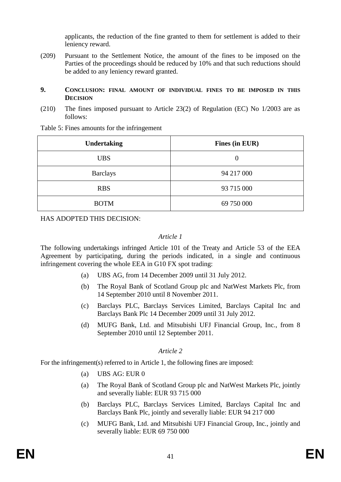applicants, the reduction of the fine granted to them for settlement is added to their leniency reward.

(209) Pursuant to the Settlement Notice, the amount of the fines to be imposed on the Parties of the proceedings should be reduced by 10% and that such reductions should be added to any leniency reward granted.

#### **9. CONCLUSION: FINAL AMOUNT OF INDIVIDUAL FINES TO BE IMPOSED IN THIS DECISION**

(210) The fines imposed pursuant to Article 23(2) of Regulation (EC) No 1/2003 are as follows:

| <b>Undertaking</b> | Fines (in EUR) |
|--------------------|----------------|
| <b>UBS</b>         | $\theta$       |
| <b>Barclays</b>    | 94 217 000     |
| <b>RBS</b>         | 93 715 000     |
| <b>BOTM</b>        | 69 750 000     |

Table 5: Fines amounts for the infringement

HAS ADOPTED THIS DECISION:

#### *Article 1*

The following undertakings infringed Article 101 of the Treaty and Article 53 of the EEA Agreement by participating, during the periods indicated, in a single and continuous infringement covering the whole EEA in G10 FX spot trading:

- (a) UBS AG, from 14 December 2009 until 31 July 2012.
- (b) The Royal Bank of Scotland Group plc and NatWest Markets Plc, from 14 September 2010 until 8 November 2011.
- (c) Barclays PLC, Barclays Services Limited, Barclays Capital Inc and Barclays Bank Plc 14 December 2009 until 31 July 2012.
- (d) MUFG Bank, Ltd. and Mitsubishi UFJ Financial Group, Inc., from 8 September 2010 until 12 September 2011.

## *Article 2*

For the infringement(s) referred to in Article 1, the following fines are imposed:

- (a) UBS AG: EUR 0
- (a) The Royal Bank of Scotland Group plc and NatWest Markets Plc, jointly and severally liable: EUR 93 715 000
- (b) Barclays PLC, Barclays Services Limited, Barclays Capital Inc and Barclays Bank Plc, jointly and severally liable: EUR 94 217 000
- (c) MUFG Bank, Ltd. and Mitsubishi UFJ Financial Group, Inc., jointly and severally liable: EUR 69 750 000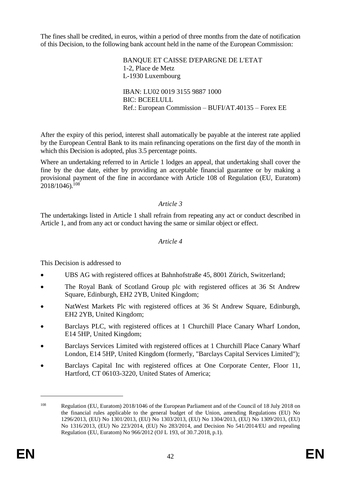The fines shall be credited, in euros, within a period of three months from the date of notification of this Decision, to the following bank account held in the name of the European Commission:

> BANQUE ET CAISSE D'EPARGNE DE L'ETAT 1-2, Place de Metz L-1930 Luxembourg IBAN: LU02 0019 3155 9887 1000 BIC: BCEELULL Ref.: European Commission – BUFI/AT.40135 – Forex EE

After the expiry of this period, interest shall automatically be payable at the interest rate applied by the European Central Bank to its main refinancing operations on the first day of the month in which this Decision is adopted, plus 3.5 percentage points.

Where an undertaking referred to in Article 1 lodges an appeal, that undertaking shall cover the fine by the due date, either by providing an acceptable financial guarantee or by making a provisional payment of the fine in accordance with Article 108 of Regulation (EU, Euratom)  $2018/1046$ .<sup>108</sup>

### *Article 3*

The undertakings listed in Article 1 shall refrain from repeating any act or conduct described in Article 1, and from any act or conduct having the same or similar object or effect.

#### *Article 4*

This Decision is addressed to

- UBS AG with registered offices at Bahnhofstraße 45, 8001 Zürich, Switzerland;
- The Royal Bank of Scotland Group plc with registered offices at 36 St Andrew Square, Edinburgh, EH2 2YB, United Kingdom;
- NatWest Markets Plc with registered offices at 36 St Andrew Square, Edinburgh, EH2 2YB, United Kingdom;
- Barclays PLC, with registered offices at 1 Churchill Place Canary Wharf London, E14 5HP, United Kingdom;
- Barclays Services Limited with registered offices at 1 Churchill Place Canary Wharf London, E14 5HP, United Kingdom (formerly, "Barclays Capital Services Limited");
- Barclays Capital Inc with registered offices at One Corporate Center, Floor 11, Hartford, CT 06103-3220, United States of America;

<sup>108</sup> Regulation (EU, Euratom) 2018/1046 of the European Parliament and of the Council of 18 July 2018 on the financial rules applicable to the general budget of the Union, amending Regulations (EU) No 1296/2013, (EU) No 1301/2013, (EU) No 1303/2013, (EU) No 1304/2013, (EU) No 1309/2013, (EU) No 1316/2013, (EU) No 223/2014, (EU) No 283/2014, and Decision No 541/2014/EU and repealing Regulation (EU, Euratom) No 966/2012 (OJ L 193, of 30.7.2018, p.1).